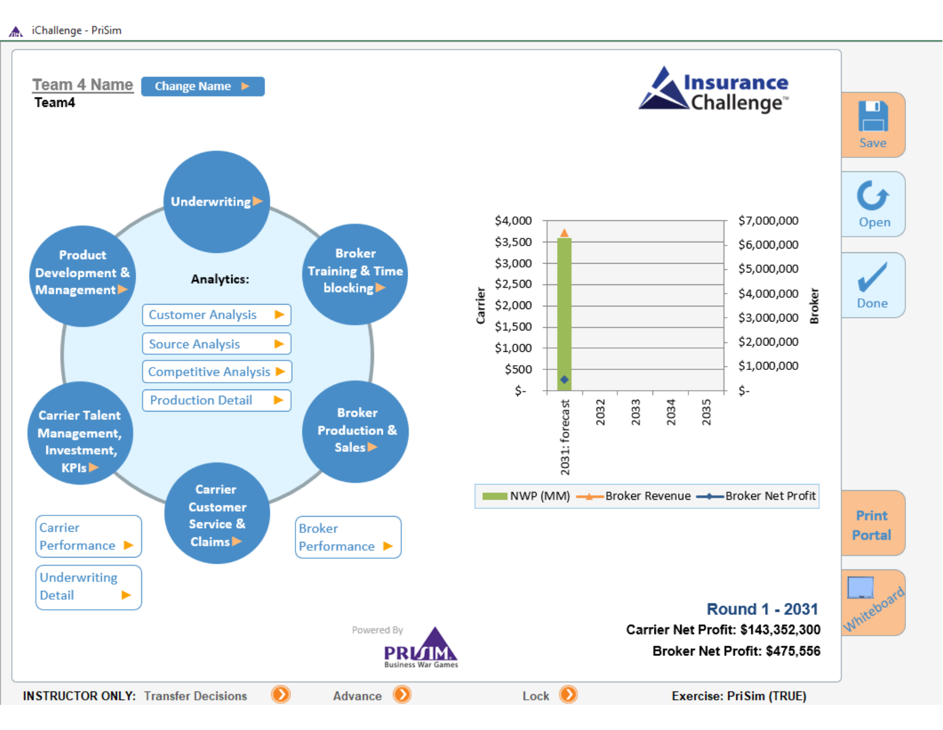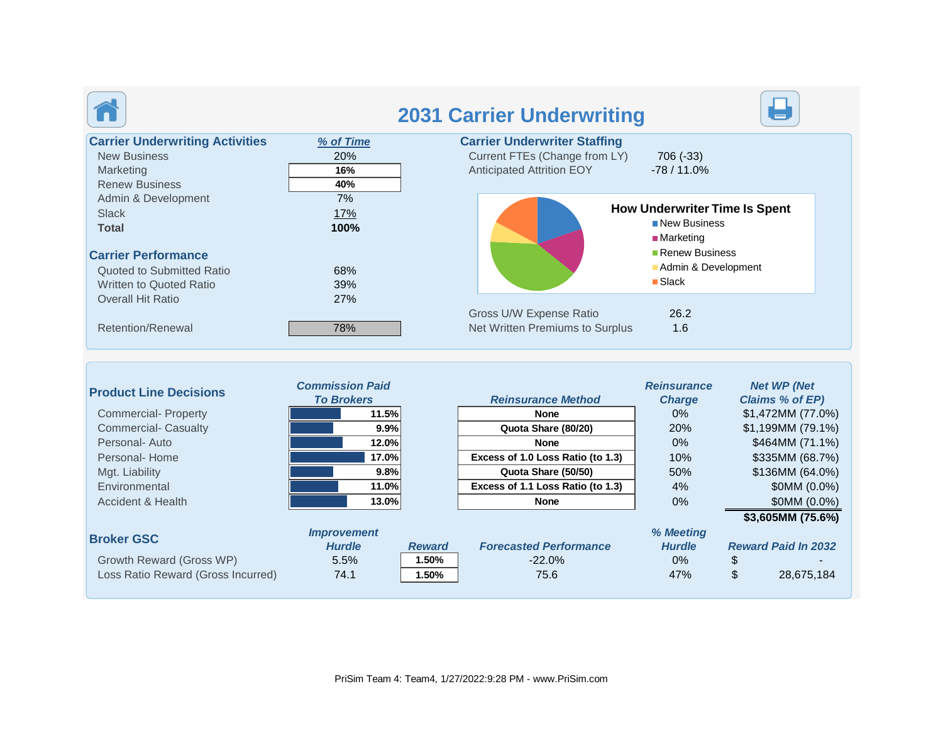

|                                                                                                     |                                       | <b>2031 Carrier Underwriting</b>                                                                                                     |
|-----------------------------------------------------------------------------------------------------|---------------------------------------|--------------------------------------------------------------------------------------------------------------------------------------|
| <b>Carrier Underwriting Activities</b><br><b>New Business</b><br>Marketing<br><b>Renew Business</b> | % of Time<br><b>20%</b><br>16%<br>40% | <b>Carrier Underwriter Staffing</b><br>Current FTEs (Change from LY)<br>706 (-33)<br><b>Anticipated Attrition EOY</b><br>$-78/11.0%$ |
| Admin & Development<br><b>Slack</b><br><b>Total</b>                                                 | $7\%$<br>17%<br>100%                  | <b>How Underwriter Time Is Spent</b><br>■ New Business<br>$M$ arketing                                                               |
| <b>Carrier Performance</b><br>Quoted to Submitted Ratio<br><b>Written to Quoted Ratio</b>           | 68%<br>39%                            | Renew Business<br>Admin & Development<br>$\blacksquare$ Slack                                                                        |
| <b>Overall Hit Ratio</b><br><b>Retention/Renewal</b>                                                | 27%<br>78%                            | Gross U/W Expense Ratio<br>26.2<br>Net Written Premiums to Surplus<br>1.6                                                            |

| <b>Product Line Decisions</b>      | <b>Commission Paid</b><br><b>To Brokers</b> |               | <b>Reinsurance Method</b>         | <b>Reinsurance</b><br><b>Charge</b> | <b>Net WP (Net</b><br><b>Claims % of EP)</b> |
|------------------------------------|---------------------------------------------|---------------|-----------------------------------|-------------------------------------|----------------------------------------------|
| <b>Commercial-Property</b>         | 11.5%                                       |               | None                              | $0\%$                               | \$1,472MM (77.0%)                            |
| <b>Commercial- Casualty</b>        | 9.9%                                        |               | Quota Share (80/20)               | 20%                                 | \$1,199MM (79.1%)                            |
| Personal-Auto                      | 12.0%                                       |               | <b>None</b>                       | $0\%$                               | \$464MM (71.1%)                              |
| Personal-Home                      | 17.0%                                       |               | Excess of 1.0 Loss Ratio (to 1.3) | 10%                                 | \$335MM (68.7%)                              |
| Mgt. Liability                     | 9.8%                                        |               | Quota Share (50/50)               | 50%                                 | \$136MM (64.0%)                              |
| Environmental                      | 11.0%                                       |               | Excess of 1.1 Loss Ratio (to 1.3) | 4%                                  | \$0MM (0.0%)                                 |
| Accident & Health                  | 13.0%                                       |               | None                              | $0\%$                               | \$0MM (0.0%)                                 |
|                                    |                                             |               |                                   |                                     | \$3,605MM (75.6%)                            |
| <b>Broker GSC</b>                  | <b>Improvement</b>                          |               |                                   | % Meeting                           |                                              |
|                                    | <b>Hurdle</b>                               | <b>Reward</b> | <b>Forecasted Performance</b>     | <b>Hurdle</b>                       | <b>Reward Paid In 2032</b>                   |
| Growth Reward (Gross WP)           | 5.5%                                        | 1.50%         | $-22.0\%$                         | $0\%$                               |                                              |
| Loss Ratio Reward (Gross Incurred) | 74.1                                        | 1.50%         | 75.6                              | 47%                                 | \$<br>28,675,184                             |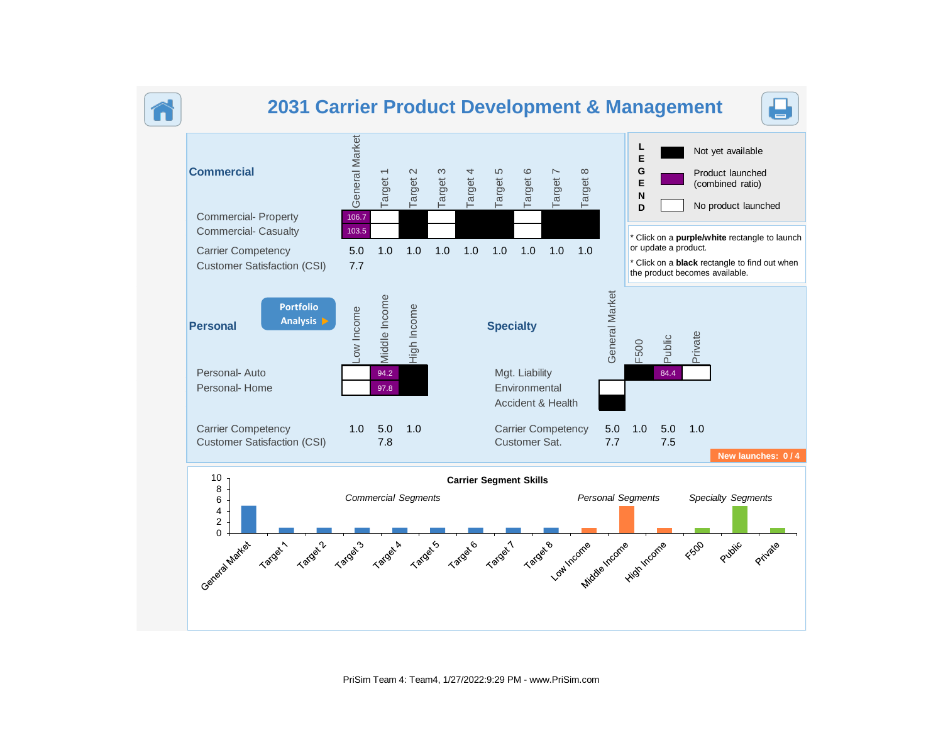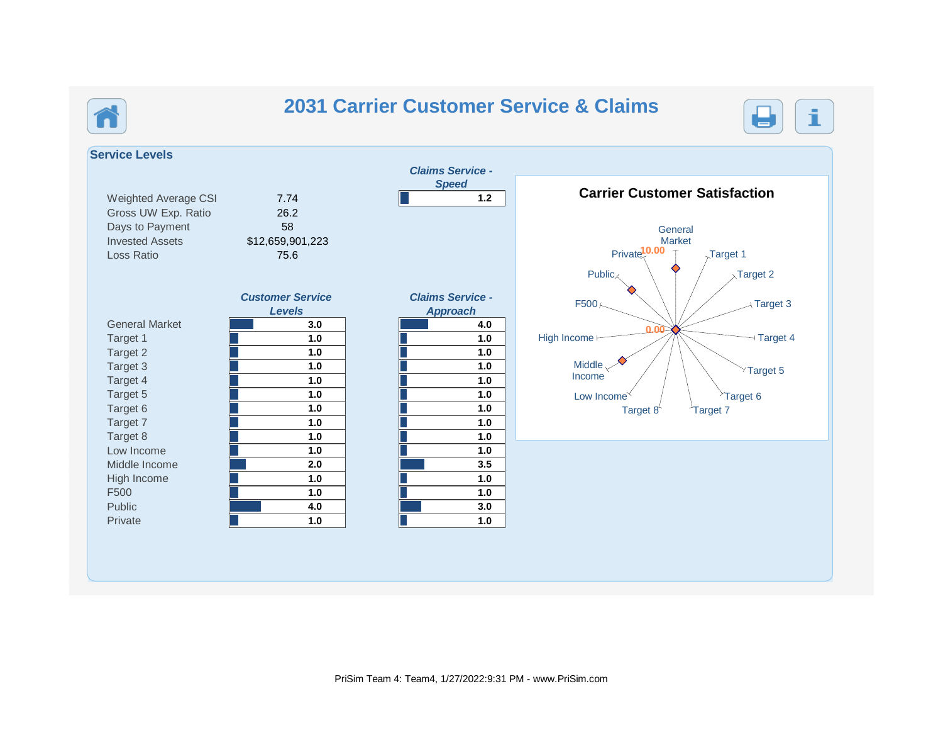## **2031 Carrier Customer Service & Claims**



**Service Levels** *Claims Service - Speed* Weighted Average CSI 7.74 **1.2** Gross UW Exp. Ratio 26.2 Days to Payment 58 Invested Assets \$12,659,901,223 Loss Ratio 75.6 *Customer Service Levels Claims Service - Approach* General Market **3.0 4.0** Target 1 **1.0 1.0 1.0 1.0 1.0 1.0 1.0 1.0 1.0 1.0 1.0 1.0 1.0 1.0 1.0 1.0 1.0 1.0 1.0 1.0 1.0 1.0 1.0 1.0 1.0 1.0 1.0 1.0 1.0 1.0 1.0 1.0** Low Income **1.0 1.0** Middle Income **2.0 3.5** High Income **1.0 1.0** F500 **1.0 1.0** Public **4.0 3.0** Private **1.0 1.0** 0.00 Private<sup>10.00</sup> 1  $\rightarrow$ Target 3 Target 3  $T$  Target 2  $T$  $F500<$ **Carrier Customer Carrier Customer Satisfaction 0.00 General** Market Target 1  $_{\lambda}$ Target 2  $\neg$  Target 4  $\times$ Target 5  $^{\circ}$ Target 6 Target  $8^{\ell}$  Target 7 Low Income<sup> $\checkmark$ </sup> Middle $\sim$ Income High Income **H**  $Public_{\nwarrow}$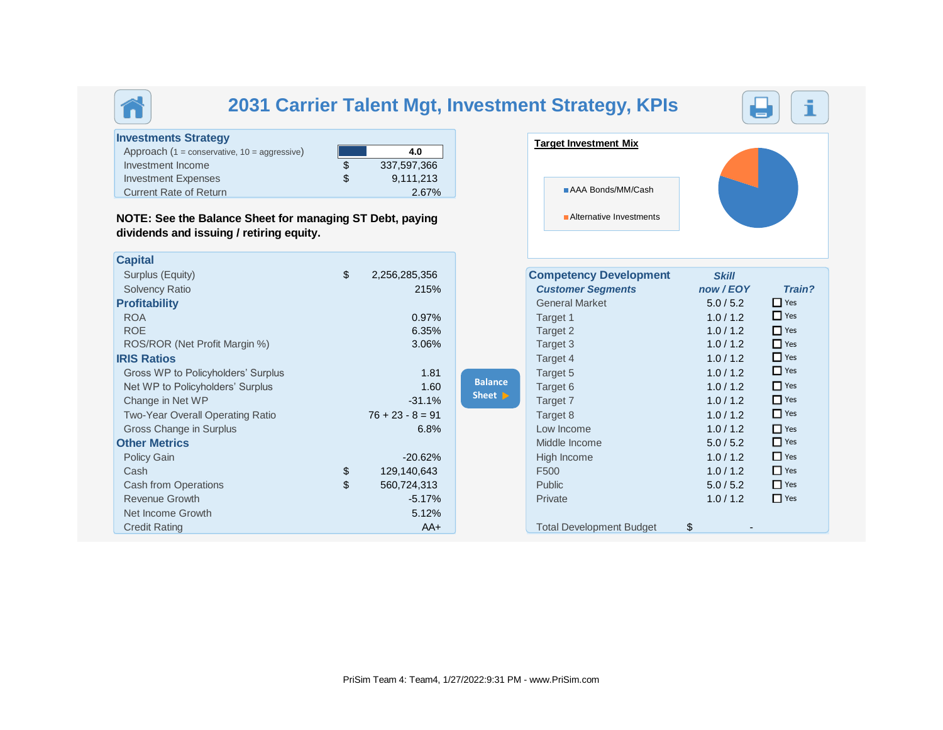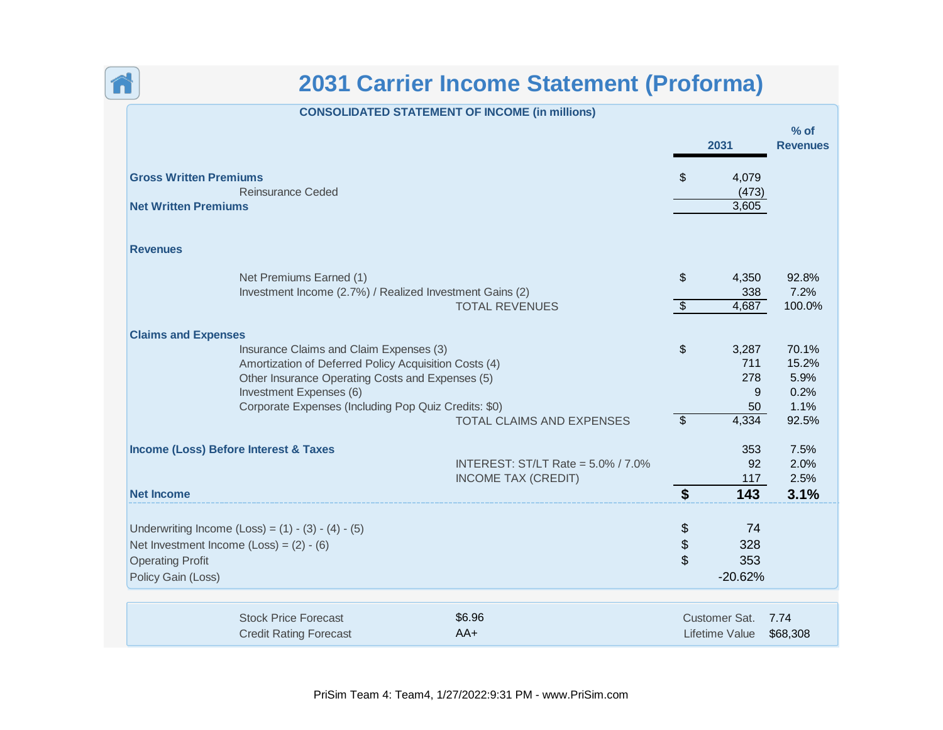

₹

|                                                           | <b>CONSOLIDATED STATEMENT OF INCOME (in millions)</b> |                           |                       |                           |
|-----------------------------------------------------------|-------------------------------------------------------|---------------------------|-----------------------|---------------------------|
|                                                           |                                                       |                           | 2031                  | $%$ of<br><b>Revenues</b> |
| <b>Gross Written Premiums</b><br><b>Reinsurance Ceded</b> |                                                       | $\mathfrak{L}$            | 4,079                 |                           |
| <b>Net Written Premiums</b>                               |                                                       |                           | (473)<br>3,605        |                           |
| <b>Revenues</b>                                           |                                                       |                           |                       |                           |
| Net Premiums Earned (1)                                   |                                                       | $\sqrt[6]{\frac{1}{2}}$   | 4,350                 | 92.8%                     |
| Investment Income (2.7%) / Realized Investment Gains (2)  |                                                       |                           | 338                   | 7.2%                      |
|                                                           | <b>TOTAL REVENUES</b>                                 | $\bullet$                 | 4,687                 | 100.0%                    |
| <b>Claims and Expenses</b>                                |                                                       |                           |                       |                           |
| Insurance Claims and Claim Expenses (3)                   |                                                       | $\boldsymbol{\mathsf{S}}$ | 3,287                 | 70.1%                     |
| Amortization of Deferred Policy Acquisition Costs (4)     |                                                       |                           | 711                   | 15.2%                     |
| Other Insurance Operating Costs and Expenses (5)          |                                                       |                           | 278                   | 5.9%                      |
| Investment Expenses (6)                                   |                                                       |                           | 9                     | 0.2%                      |
| Corporate Expenses (Including Pop Quiz Credits: \$0)      |                                                       |                           | 50                    | 1.1%                      |
|                                                           | <b>TOTAL CLAIMS AND EXPENSES</b>                      | $\overline{\mathbf{s}}$   | 4,334                 | 92.5%                     |
| <b>Income (Loss) Before Interest &amp; Taxes</b>          |                                                       |                           | 353                   | 7.5%                      |
|                                                           | <b>INTEREST: ST/LT Rate = 5.0% / 7.0%</b>             |                           | 92                    | 2.0%                      |
|                                                           | <b>INCOME TAX (CREDIT)</b>                            |                           | 117                   | 2.5%                      |
| <b>Net Income</b>                                         |                                                       | \$                        | 143                   | 3.1%                      |
| Underwriting Income (Loss) = $(1) - (3) - (4) - (5)$      |                                                       | \$                        | 74                    |                           |
| Net Investment Income $(Loss) = (2) - (6)$                |                                                       | \$                        | 328                   |                           |
| <b>Operating Profit</b>                                   |                                                       | \$                        | 353                   |                           |
| Policy Gain (Loss)                                        |                                                       |                           | $-20.62%$             |                           |
|                                                           |                                                       |                           |                       |                           |
| <b>Stock Price Forecast</b>                               | \$6.96                                                |                           | Customer Sat.         | 7.74                      |
| <b>Credit Rating Forecast</b>                             | $AA+$                                                 |                           | <b>Lifetime Value</b> | \$68,308                  |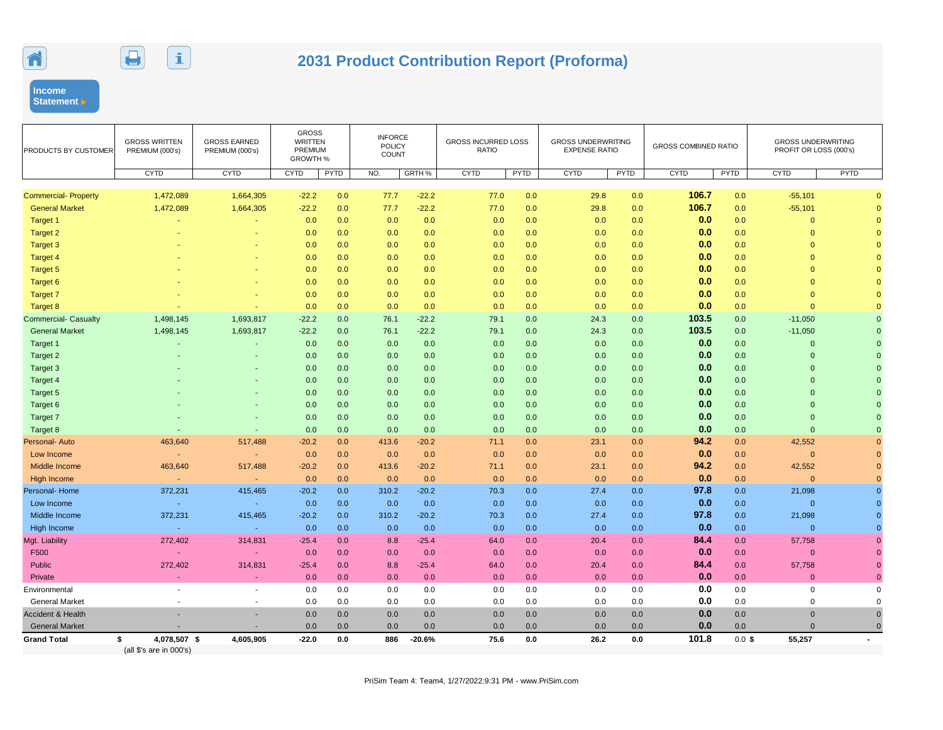



# **2031 Product Contribution Report (Proforma)**

**Income Statement** 

| PRODUCTS BY CUSTOMER         | <b>GROSS WRITTEN</b><br>PREMIUM (000's)       | <b>GROSS EARNED</b><br>PREMIUM (000's) | <b>GROSS</b><br><b>WRITTEN</b><br>PREMIUM<br><b>GROWTH %</b> |      | <b>INFORCE</b><br><b>POLICY</b><br><b>COUNT</b> |          | <b>GROSS INCURRED LOSS</b><br><b>RATIO</b> |             | <b>GROSS UNDERWRITING</b><br><b>EXPENSE RATIO</b> |      | <b>GROSS COMBINED RATIO</b> |             | <b>GROSS UNDERWRITING</b><br>PROFIT OR LOSS (000's) |          |
|------------------------------|-----------------------------------------------|----------------------------------------|--------------------------------------------------------------|------|-------------------------------------------------|----------|--------------------------------------------|-------------|---------------------------------------------------|------|-----------------------------|-------------|-----------------------------------------------------|----------|
|                              | <b>CYTD</b>                                   | <b>CYTD</b>                            | <b>CYTD</b>                                                  | PYTD | NO.                                             | GRTH %   | <b>CYTD</b>                                | <b>PYTD</b> | <b>CYTD</b>                                       | PYTD | <b>CYTD</b>                 | <b>PYTD</b> | <b>CYTD</b>                                         | PYTD     |
| <b>Commercial- Property</b>  | 1,472,089                                     | 1,664,305                              | $-22.2$                                                      | 0.0  | 77.7                                            | $-22.2$  | 77.0                                       | 0.0         | 29.8                                              | 0.0  | 106.7                       | 0.0         | $-55,101$                                           |          |
| <b>General Market</b>        | 1,472,089                                     | 1,664,305                              | $-22.2$                                                      | 0.0  | 77.7                                            | $-22.2$  | 77.0                                       | 0.0         | 29.8                                              | 0.0  | 106.7                       | 0.0         | $-55,101$                                           |          |
| Target 1                     |                                               |                                        | 0.0                                                          | 0.0  | 0.0                                             | 0.0      | 0.0                                        | 0.0         | 0.0                                               | 0.0  | 0.0                         | 0.0         | $\mathbf{0}$                                        |          |
| <b>Target 2</b>              |                                               |                                        | 0.0                                                          | 0.0  | 0.0                                             | 0.0      | 0.0                                        | 0.0         | 0.0                                               | 0.0  | 0.0                         | 0.0         | $\mathbf{0}$                                        |          |
| Target 3                     |                                               |                                        | 0.0                                                          | 0.0  | 0.0                                             | 0.0      | 0.0                                        | 0.0         | 0.0                                               | 0.0  | 0.0                         | 0.0         | $\overline{0}$                                      |          |
| <b>Target 4</b>              |                                               |                                        | 0.0                                                          | 0.0  | 0.0                                             | 0.0      | 0.0                                        | 0.0         | 0.0                                               | 0.0  | 0.0                         | 0.0         | $\overline{0}$                                      |          |
| Target 5                     |                                               |                                        | 0.0                                                          | 0.0  | 0.0                                             | 0.0      | 0.0                                        | 0.0         | 0.0                                               | 0.0  | 0.0                         | 0.0         | $\Omega$                                            |          |
| Target 6                     |                                               |                                        | 0.0                                                          | 0.0  | 0.0                                             | 0.0      | 0.0                                        | 0.0         | 0.0                                               | 0.0  | 0.0                         | 0.0         | $\Omega$                                            |          |
| <b>Target 7</b>              |                                               |                                        | 0.0                                                          | 0.0  | 0.0                                             | 0.0      | 0.0                                        | 0.0         | 0.0                                               | 0.0  | 0.0                         | 0.0         | $\mathbf{0}$                                        |          |
| <b>Target 8</b>              |                                               |                                        | 0.0                                                          | 0.0  | 0.0                                             | 0.0      | 0.0                                        | 0.0         | 0.0                                               | 0.0  | 0.0                         | 0.0         | $\Omega$                                            |          |
| <b>Commercial- Casualty</b>  | 1,498,145                                     | 1,693,817                              | $-22.2$                                                      | 0.0  | 76.1                                            | $-22.2$  | 79.1                                       | 0.0         | 24.3                                              | 0.0  | 103.5                       | 0.0         | $-11,050$                                           |          |
| <b>General Market</b>        | 1,498,145                                     | 1,693,817                              | $-22.2$                                                      | 0.0  | 76.1                                            | $-22.2$  | 79.1                                       | 0.0         | 24.3                                              | 0.0  | 103.5                       | 0.0         | $-11,050$                                           |          |
| Target 1                     |                                               |                                        | 0.0                                                          | 0.0  | 0.0                                             | 0.0      | 0.0                                        | 0.0         | 0.0                                               | 0.0  | 0.0                         | 0.0         | $\overline{0}$                                      |          |
| Target 2                     |                                               |                                        | 0.0                                                          | 0.0  | 0.0                                             | 0.0      | 0.0                                        | 0.0         | 0.0                                               | 0.0  | 0.0                         | 0.0         | $\mathbf{0}$                                        |          |
| Target 3                     |                                               |                                        | 0.0                                                          | 0.0  | 0.0                                             | 0.0      | 0.0                                        | 0.0         | 0.0                                               | 0.0  | 0.0                         | 0.0         | $\Omega$                                            |          |
| Target 4                     |                                               |                                        | 0.0                                                          | 0.0  | 0.0                                             | 0.0      | 0.0                                        | 0.0         | 0.0                                               | 0.0  | 0.0                         | 0.0         | $\Omega$                                            |          |
| Target 5                     |                                               |                                        | 0.0                                                          | 0.0  | 0.0                                             | 0.0      | 0.0                                        | 0.0         | 0.0                                               | 0.0  | 0.0                         | 0.0         | $\Omega$                                            |          |
| Target 6                     |                                               |                                        | 0.0                                                          | 0.0  | 0.0                                             | 0.0      | 0.0                                        | 0.0         | 0.0                                               | 0.0  | 0.0                         | 0.0         | $\Omega$                                            |          |
| Target 7                     |                                               |                                        | 0.0                                                          | 0.0  | 0.0                                             | 0.0      | 0.0                                        | 0.0         | 0.0                                               | 0.0  | 0.0                         | 0.0         | $\Omega$                                            |          |
| Target 8                     |                                               |                                        | 0.0                                                          | 0.0  | 0.0                                             | 0.0      | 0.0                                        | 0.0         | 0.0                                               | 0.0  | 0.0                         | 0.0         | $\mathbf{0}$                                        |          |
| Personal- Auto               | 463,640                                       | 517,488                                | $-20.2$                                                      | 0.0  | 413.6                                           | $-20.2$  | 71.1                                       | 0.0         | 23.1                                              | 0.0  | 94.2                        | 0.0         | 42,552                                              |          |
| Low Income                   | ÷                                             |                                        | 0.0                                                          | 0.0  | 0.0                                             | 0.0      | 0.0                                        | 0.0         | 0.0                                               | 0.0  | 0.0                         | 0.0         | $\mathbf{0}$                                        |          |
| Middle Income                | 463,640                                       | 517,488                                | $-20.2$                                                      | 0.0  | 413.6                                           | $-20.2$  | 71.1                                       | 0.0         | 23.1                                              | 0.0  | 94.2                        | 0.0         | 42,552                                              |          |
| <b>High Income</b>           |                                               |                                        | 0.0                                                          | 0.0  | 0.0                                             | 0.0      | 0.0                                        | 0.0         | 0.0                                               | 0.0  | 0.0                         | 0.0         | $\Omega$                                            |          |
| Personal- Home               | 372,231                                       | 415,465                                | $-20.2$                                                      | 0.0  | 310.2                                           | $-20.2$  | 70.3                                       | 0.0         | 27.4                                              | 0.0  | 97.8                        | 0.0         | 21,098                                              | $\Omega$ |
| Low Income                   |                                               |                                        | 0.0                                                          | 0.0  | 0.0                                             | 0.0      | 0.0                                        | 0.0         | 0.0                                               | 0.0  | 0.0                         | 0.0         | $\mathbf{0}$                                        |          |
| Middle Income                | 372,231                                       | 415,465                                | $-20.2$                                                      | 0.0  | 310.2                                           | $-20.2$  | 70.3                                       | 0.0         | 27.4                                              | 0.0  | 97.8                        | 0.0         | 21,098                                              |          |
| High Income                  | ×.                                            | х.                                     | 0.0                                                          | 0.0  | 0.0                                             | 0.0      | 0.0                                        | 0.0         | 0.0                                               | 0.0  | 0.0                         | 0.0         | $\mathbf{0}$                                        |          |
| Mgt. Liability               | 272,402                                       | 314,831                                | $-25.4$                                                      | 0.0  | 8.8                                             | $-25.4$  | 64.0                                       | 0.0         | 20.4                                              | 0.0  | 84.4                        | 0.0         | 57,758                                              |          |
| F500                         | ä,                                            |                                        | 0.0                                                          | 0.0  | 0.0                                             | 0.0      | 0.0                                        | 0.0         | 0.0                                               | 0.0  | 0.0                         | 0.0         | $\Omega$                                            |          |
| <b>Public</b>                | 272,402                                       | 314,831                                | $-25.4$                                                      | 0.0  | 8.8                                             | $-25.4$  | 64.0                                       | 0.0         | 20.4                                              | 0.0  | 84.4                        | 0.0         | 57,758                                              |          |
| Private                      | ÷                                             | ٠                                      | 0.0                                                          | 0.0  | 0.0                                             | 0.0      | 0.0                                        | 0.0         | 0.0                                               | 0.0  | 0.0                         | 0.0         | $\mathbf{0}$                                        |          |
| Environmental                |                                               | ÷,                                     | 0.0                                                          | 0.0  | 0.0                                             | 0.0      | 0.0                                        | 0.0         | 0.0                                               | 0.0  | 0.0                         | 0.0         | $\Omega$                                            | $\Omega$ |
| <b>General Market</b>        | $\blacksquare$                                | $\sim$                                 | 0.0                                                          | 0.0  | 0.0                                             | 0.0      | 0.0                                        | 0.0         | 0.0                                               | 0.0  | 0.0                         | 0.0         | $\mathbf 0$                                         | $\Omega$ |
| <b>Accident &amp; Health</b> |                                               | ۰                                      | 0.0                                                          | 0.0  | 0.0                                             | 0.0      | 0.0                                        | 0.0         | 0.0                                               | 0.0  | 0.0                         | 0.0         | $\mathbf 0$                                         |          |
| <b>General Market</b>        |                                               |                                        | 0.0                                                          | 0.0  | 0.0                                             | 0.0      | 0.0                                        | 0.0         | 0.0                                               | 0.0  | 0.0                         | 0.0         | $\Omega$                                            |          |
| <b>Grand Total</b>           | 4,078,507 \$<br>\$<br>(all \$'s are in 000's) | 4,605,905                              | $-22.0$                                                      | 0.0  | 886                                             | $-20.6%$ | 75.6                                       | 0.0         | 26.2                                              | 0.0  | 101.8                       | $0.0$ \$    | 55,257                                              |          |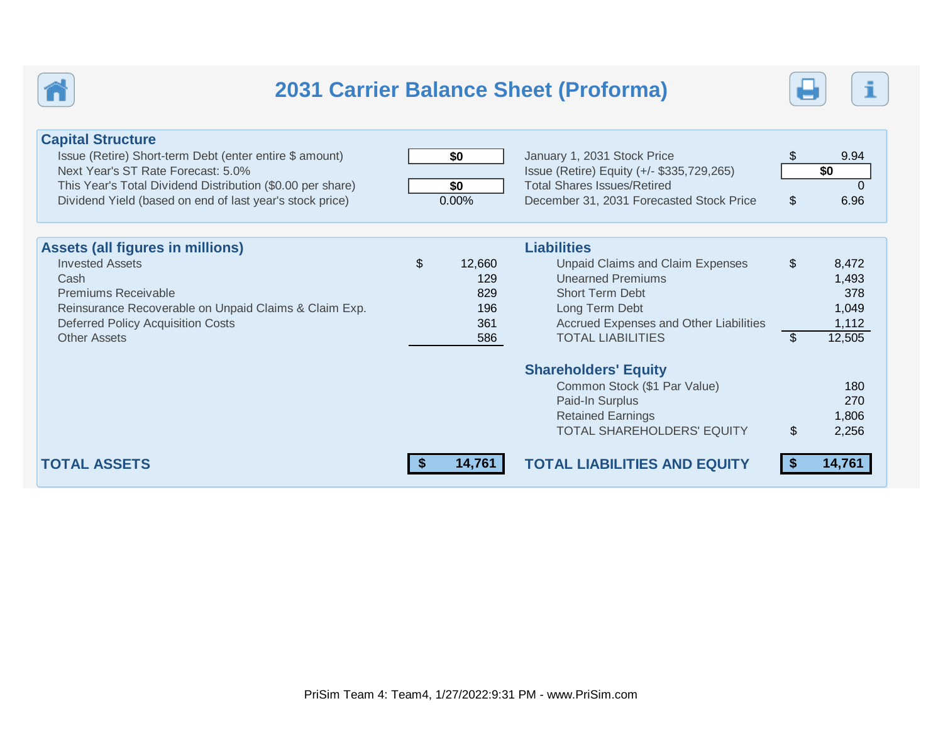

# **2031 Carrier Balance Sheet (Proforma)**



| <b>Capital Structure</b><br>Issue (Retire) Short-term Debt (enter entire \$ amount)<br>Next Year's ST Rate Forecast: 5.0%<br>This Year's Total Dividend Distribution (\$0.00 per share)<br>Dividend Yield (based on end of last year's stock price) | \$0<br>\$0<br>0.00%                             | January 1, 2031 Stock Price<br>Issue (Retire) Equity (+/- \$335,729,265)<br><b>Total Shares Issues/Retired</b><br>December 31, 2031 Forecasted Stock Price                                                  | $\$\$<br>$\mathcal{L}$  | 9.94<br>\$0<br>$\Omega$<br>6.96                   |
|-----------------------------------------------------------------------------------------------------------------------------------------------------------------------------------------------------------------------------------------------------|-------------------------------------------------|-------------------------------------------------------------------------------------------------------------------------------------------------------------------------------------------------------------|-------------------------|---------------------------------------------------|
| <b>Assets (all figures in millions)</b><br><b>Invested Assets</b><br>Cash<br><b>Premiums Receivable</b><br>Reinsurance Recoverable on Unpaid Claims & Claim Exp.<br><b>Deferred Policy Acquisition Costs</b><br><b>Other Assets</b>                 | \$<br>12,660<br>129<br>829<br>196<br>361<br>586 | <b>Liabilities</b><br><b>Unpaid Claims and Claim Expenses</b><br><b>Unearned Premiums</b><br><b>Short Term Debt</b><br>Long Term Debt<br>Accrued Expenses and Other Liabilities<br><b>TOTAL LIABILITIES</b> | $\$\$<br>$\mathfrak{L}$ | 8,472<br>1,493<br>378<br>1,049<br>1,112<br>12,505 |
| <b>TOTAL ASSETS</b>                                                                                                                                                                                                                                 | 14,761                                          | <b>Shareholders' Equity</b><br>Common Stock (\$1 Par Value)<br>Paid-In Surplus<br><b>Retained Earnings</b><br><b>TOTAL SHAREHOLDERS' EQUITY</b><br><b>TOTAL LIABILITIES AND EQUITY</b>                      | \$                      | 180<br>270<br>1,806<br>2,256<br>14,761            |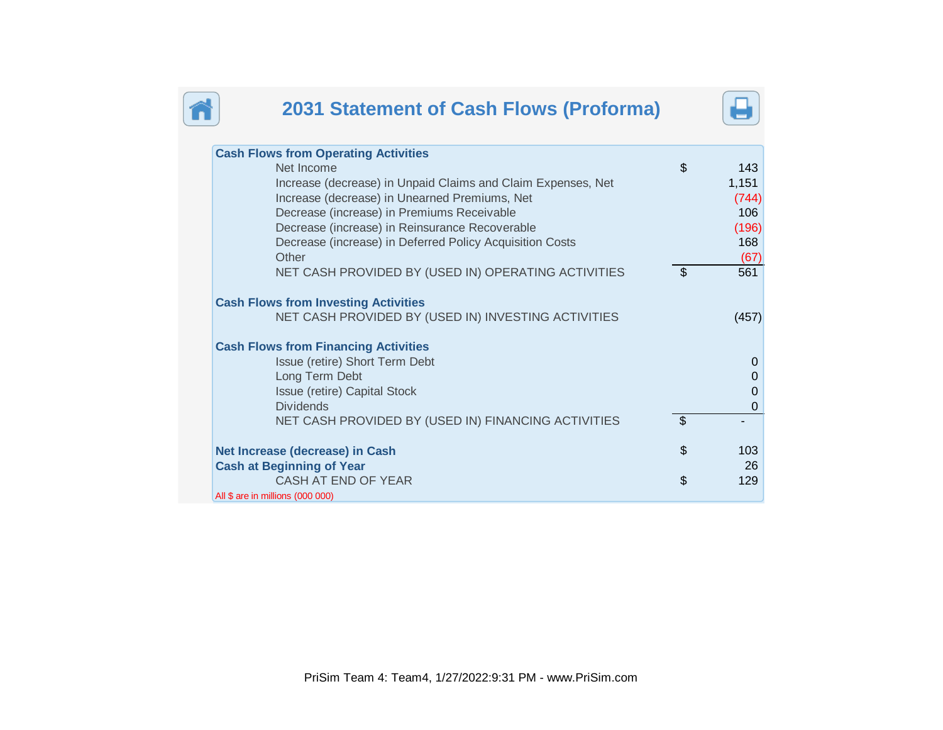

# **2031 Statement of Cash Flows (Proforma)**



| <b>Cash Flows from Operating Activities</b>                         |                |             |
|---------------------------------------------------------------------|----------------|-------------|
| Net Income                                                          | \$             | 143         |
| Increase (decrease) in Unpaid Claims and Claim Expenses, Net        |                | 1,151       |
| Increase (decrease) in Unearned Premiums, Net                       |                | (744)       |
| Decrease (increase) in Premiums Receivable                          |                | 106         |
| Decrease (increase) in Reinsurance Recoverable                      |                | (196)       |
| Decrease (increase) in Deferred Policy Acquisition Costs            |                | 168         |
| Other                                                               |                | (67)        |
| NET CASH PROVIDED BY (USED IN) OPERATING ACTIVITIES                 | \$             | 561         |
|                                                                     |                |             |
| <b>Cash Flows from Investing Activities</b>                         |                |             |
| NET CASH PROVIDED BY (USED IN) INVESTING ACTIVITIES                 |                | (457)       |
|                                                                     |                |             |
| <b>Cash Flows from Financing Activities</b>                         |                |             |
| Issue (retire) Short Term Debt                                      |                | $\Omega$    |
| Long Term Debt                                                      |                | 0           |
| Issue (retire) Capital Stock                                        |                | 0           |
| <b>Dividends</b>                                                    |                | $\mathbf 0$ |
| NET CASH PROVIDED BY (USED IN) FINANCING ACTIVITIES                 | $\mathfrak{S}$ |             |
|                                                                     | \$             | 103         |
| Net Increase (decrease) in Cash<br><b>Cash at Beginning of Year</b> |                | 26          |
| CASH AT END OF YEAR                                                 |                | 129         |
|                                                                     | \$             |             |
| All \$ are in millions (000 000)                                    |                |             |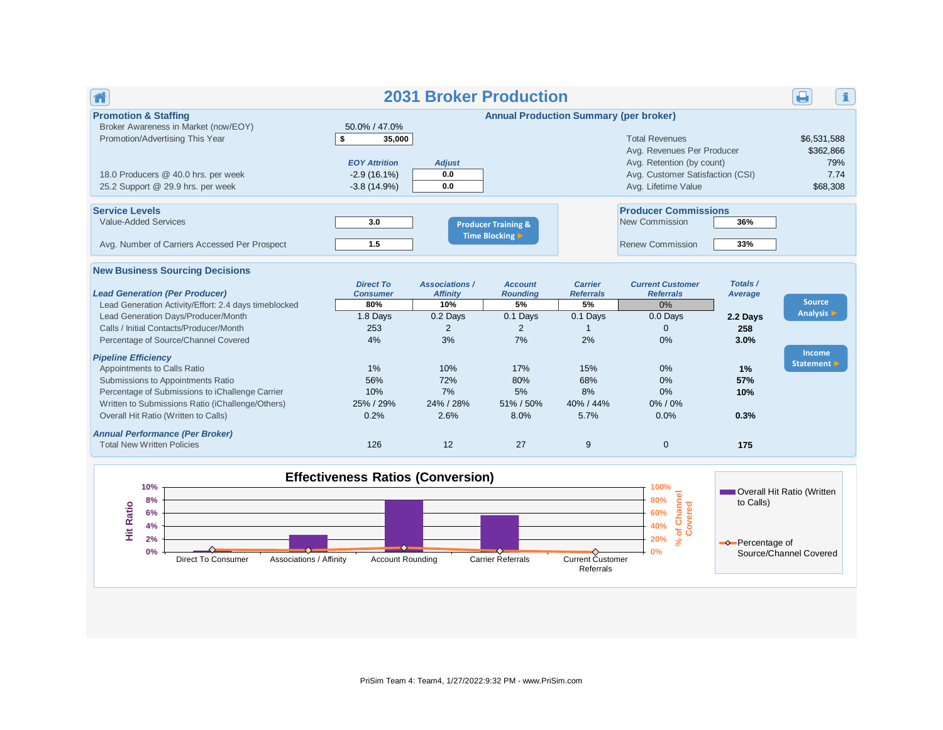| Ħ                                                                                                                                                                                                                                                                                                                                                                                                                                                                                                                                                                                                  |                                                                                                                     | <b>2031 Broker Production</b>                                                                                         |                                                                                                               |                                                                                                                            |                                                                                                                                             |                                                                                   | i.                                                                            |
|----------------------------------------------------------------------------------------------------------------------------------------------------------------------------------------------------------------------------------------------------------------------------------------------------------------------------------------------------------------------------------------------------------------------------------------------------------------------------------------------------------------------------------------------------------------------------------------------------|---------------------------------------------------------------------------------------------------------------------|-----------------------------------------------------------------------------------------------------------------------|---------------------------------------------------------------------------------------------------------------|----------------------------------------------------------------------------------------------------------------------------|---------------------------------------------------------------------------------------------------------------------------------------------|-----------------------------------------------------------------------------------|-------------------------------------------------------------------------------|
| <b>Promotion &amp; Staffing</b><br>Broker Awareness in Market (now/EOY)<br>Promotion/Advertising This Year<br>18.0 Producers @ 40.0 hrs. per week<br>25.2 Support @ 29.9 hrs. per week                                                                                                                                                                                                                                                                                                                                                                                                             | 50.0% / 47.0%<br>\$<br>35,000<br><b>EOY Attrition</b><br>$-2.9(16.1\%)$<br>$-3.8(14.9%)$                            | <b>Adjust</b><br>0.0<br>0.0                                                                                           | <b>Annual Production Summary (per broker)</b>                                                                 |                                                                                                                            | <b>Total Revenues</b><br>Avg. Revenues Per Producer<br>Avg. Retention (by count)<br>Avg. Customer Satisfaction (CSI)<br>Avg. Lifetime Value |                                                                                   | \$6,531,588<br>\$362,866<br>79%<br>7.74<br>\$68,308                           |
| <b>Service Levels</b><br><b>Value-Added Services</b><br>Avg. Number of Carriers Accessed Per Prospect                                                                                                                                                                                                                                                                                                                                                                                                                                                                                              | 3.0<br>1.5                                                                                                          |                                                                                                                       | <b>Producer Training &amp;</b><br>Time Blocking                                                               |                                                                                                                            | <b>Producer Commissions</b><br>New Commission<br><b>Renew Commission</b>                                                                    | 36%<br>33%                                                                        |                                                                               |
| <b>New Business Sourcing Decisions</b><br><b>Lead Generation (Per Producer)</b><br>Lead Generation Activity/Effort: 2.4 days timeblocked<br>Lead Generation Days/Producer/Month<br>Calls / Initial Contacts/Producer/Month<br>Percentage of Source/Channel Covered<br><b>Pipeline Efficiency</b><br>Appointments to Calls Ratio<br>Submissions to Appointments Ratio<br>Percentage of Submissions to iChallenge Carrier<br>Written to Submissions Ratio (iChallenge/Others)<br>Overall Hit Ratio (Written to Calls)<br><b>Annual Performance (Per Broker)</b><br><b>Total New Written Policies</b> | <b>Direct To</b><br><b>Consumer</b><br>80%<br>1.8 Days<br>253<br>4%<br>1%<br>56%<br>10%<br>25% / 29%<br>0.2%<br>126 | <b>Associations /</b><br><b>Affinity</b><br>10%<br>0.2 Days<br>2<br>3%<br>10%<br>72%<br>7%<br>24% / 28%<br>2.6%<br>12 | <b>Account</b><br><b>Roundina</b><br>5%<br>0.1 Days<br>2<br>7%<br>17%<br>80%<br>5%<br>51% / 50%<br>8.0%<br>27 | <b>Carrier</b><br><b>Referrals</b><br>5%<br>0.1 Days<br>$\overline{1}$<br>2%<br>15%<br>68%<br>8%<br>40% / 44%<br>5.7%<br>9 | <b>Current Customer</b><br><b>Referrals</b><br>0%<br>0.0 Days<br>$\mathbf{0}$<br>0%<br>$0\%$<br>0%<br>0%<br>0%/0%<br>0.0%<br>$\mathbf 0$    | Totals /<br>Average<br>2.2 Days<br>258<br>3.0%<br>1%<br>57%<br>10%<br>0.3%<br>175 | <b>Source</b><br>Analysis D<br>Income<br>Statement D                          |
| 10%<br>8%<br><b>Hit Ratio</b><br>6%<br>4%<br>2%<br>0%<br><b>Direct To Consumer</b><br>Associations / Affinity                                                                                                                                                                                                                                                                                                                                                                                                                                                                                      | <b>Effectiveness Ratios (Conversion)</b><br><b>Account Rounding</b>                                                 |                                                                                                                       | <b>Carrier Referrals</b>                                                                                      | Current Customer<br>Referrals                                                                                              | 100%<br>Channel<br>80%<br>of Chann<br>Covered<br>60%<br>40%<br>20%<br>$\approx$<br>0%                                                       | to Calls)<br>$\rightarrow$ Percentage of                                          | <b>NOVER COVER DISP.</b> Overall Hit Ratio (Written<br>Source/Channel Covered |

PriSim Team 4: Team4, 1/27/2022:9:32 PM - www.PriSim.com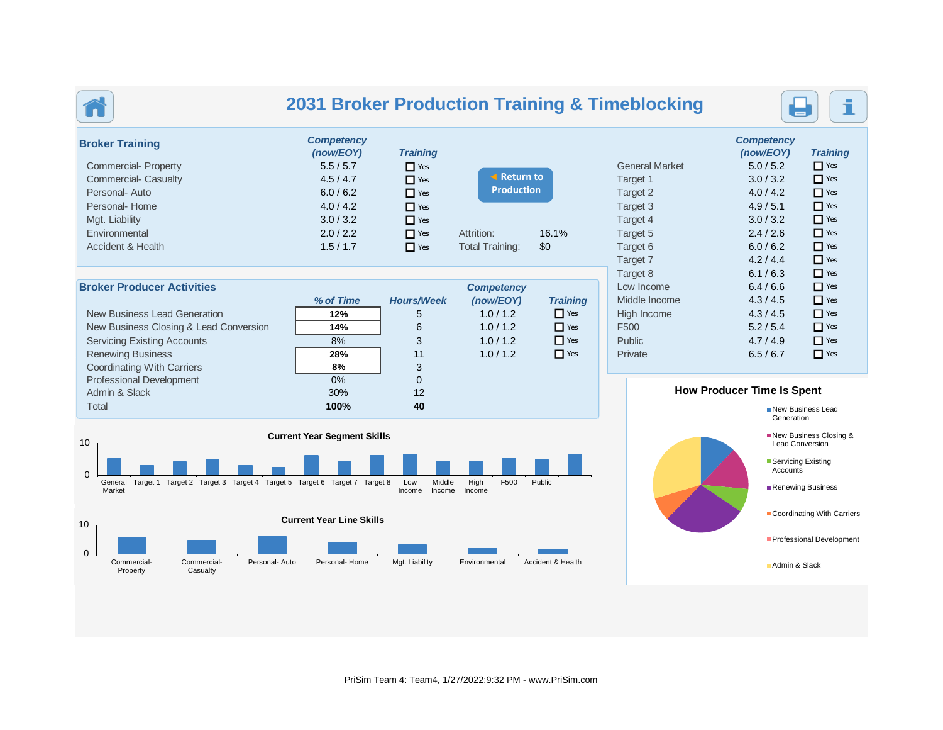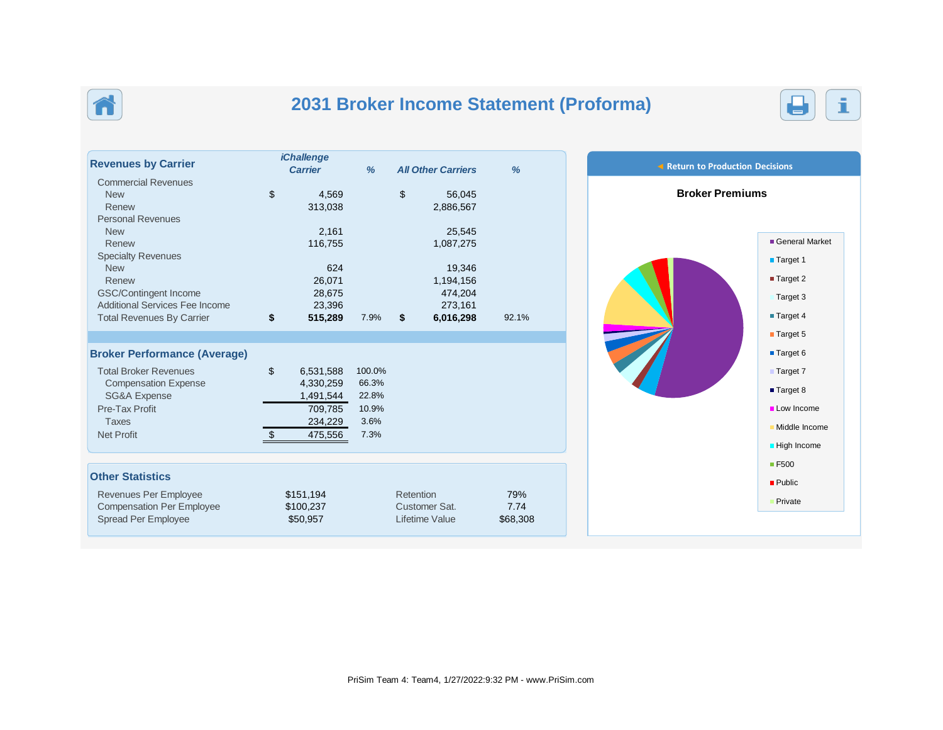

# **2031 Broker Income Statement (Proforma)**



| <b>Revenues by Carrier</b>          | <b>iChallenge</b><br><b>Carrier</b> | %      |           | <b>All Other Carriers</b> | %        |
|-------------------------------------|-------------------------------------|--------|-----------|---------------------------|----------|
| <b>Commercial Revenues</b>          |                                     |        |           |                           |          |
| <b>New</b>                          | \$<br>4,569                         |        | \$        | 56,045                    |          |
| Renew                               | 313,038                             |        |           | 2,886,567                 |          |
| <b>Personal Revenues</b>            |                                     |        |           |                           |          |
| <b>New</b>                          | 2,161                               |        |           | 25,545                    |          |
| Renew                               | 116,755                             |        |           | 1,087,275                 |          |
| <b>Specialty Revenues</b>           |                                     |        |           |                           |          |
| <b>New</b>                          | 624                                 |        |           | 19,346                    |          |
| Renew                               | 26,071                              |        |           | 1,194,156                 |          |
| GSC/Contingent Income               | 28,675                              |        |           | 474.204                   |          |
| Additional Services Fee Income      | 23,396                              |        |           | 273,161                   |          |
| <b>Total Revenues By Carrier</b>    | \$<br>515,289                       | 7.9%   | \$        | 6,016,298                 | 92.1%    |
|                                     |                                     |        |           |                           |          |
| <b>Broker Performance (Average)</b> |                                     |        |           |                           |          |
| <b>Total Broker Revenues</b>        | \$<br>6,531,588                     | 100.0% |           |                           |          |
| <b>Compensation Expense</b>         | 4,330,259                           | 66.3%  |           |                           |          |
| <b>SG&amp;A Expense</b>             | 1,491,544                           | 22.8%  |           |                           |          |
| Pre-Tax Profit                      | 709,785                             | 10.9%  |           |                           |          |
| <b>Taxes</b>                        | 234,229                             | 3.6%   |           |                           |          |
| <b>Net Profit</b>                   | \$<br>475,556                       | 7.3%   |           |                           |          |
|                                     |                                     |        |           |                           |          |
| <b>Other Statistics</b>             |                                     |        |           |                           |          |
| Revenues Per Employee               | \$151,194                           |        | Retention |                           | 79%      |
| <b>Compensation Per Employee</b>    | \$100,237                           |        |           | Customer Sat.             | 7.74     |
| <b>Spread Per Employee</b>          | \$50,957                            |        |           | Lifetime Value            | \$68,308 |
|                                     |                                     |        |           |                           |          |

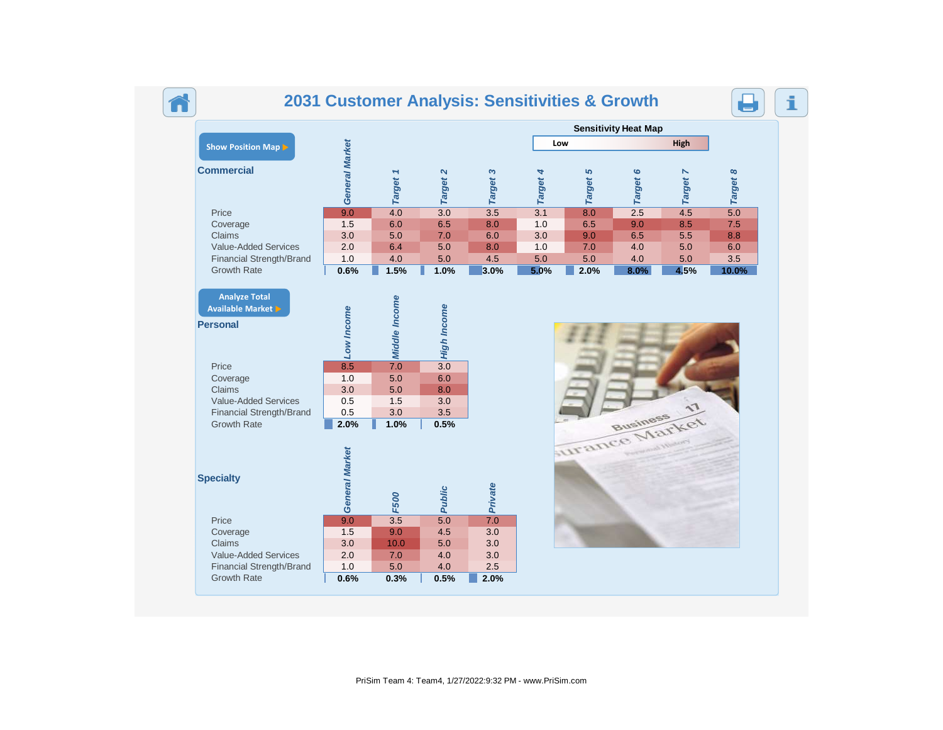# **2031 Customer Analysis: Sensitivities & Growth**

₹



|                                                                                                              |                                         |                                         |                                                      |             |          |          | <b>Sensitivity Heat Map</b> |          |          |
|--------------------------------------------------------------------------------------------------------------|-----------------------------------------|-----------------------------------------|------------------------------------------------------|-------------|----------|----------|-----------------------------|----------|----------|
| Show Position Map                                                                                            |                                         |                                         |                                                      |             | Low      |          |                             | High     |          |
| <b>Commercial</b>                                                                                            | General Market                          | Target 1                                | Target 2                                             | Target 3    | Target 4 | Target 5 | Target 6                    | Target 7 | Target 8 |
| Price                                                                                                        | 9.0                                     | 4.0                                     | $\overline{3.0}$                                     | 3.5         | 3.1      | 8.0      | 2.5                         | 4.5      | 5.0      |
| Coverage                                                                                                     | 1.5                                     | 6.0                                     | 6.5                                                  | 8.0         | 1.0      | 6.5      | 9.0                         | 8.5      | 7.5      |
| Claims                                                                                                       | 3.0                                     | 5.0                                     | 7.0                                                  | 6.0         | 3.0      | 9.0      | 6.5                         | 5.5      | 8.8      |
| <b>Value-Added Services</b>                                                                                  | 2.0                                     | 6.4                                     | 5.0                                                  | 8.0         | 1.0      | 7.0      | 4.0                         | 5.0      | 6.0      |
| Financial Strength/Brand                                                                                     | 1.0                                     | 4.0                                     | 5.0                                                  | 4.5         | 5.0      | 5.0      | 4.0                         | 5.0      | 3.5      |
| <b>Growth Rate</b>                                                                                           | 0.6%                                    | 1.5%                                    | 1.0%                                                 | 3.0%        | 5.0%     | 2.0%     | 8.0%                        | 4.5%     | 10.0%    |
| Price<br>Coverage<br>Claims<br><b>Value-Added Services</b><br>Financial Strength/Brand<br><b>Growth Rate</b> | 8.5<br>1.0<br>3.0<br>0.5<br>0.5<br>2.0% | 7.0<br>5.0<br>5.0<br>1.5<br>3.0<br>1.0% | $\overline{3.0}$<br>6.0<br>8.0<br>3.0<br>3.5<br>0.5% |             |          |          | Business                    |          |          |
| <b>Specialty</b>                                                                                             | General Market                          | <b>F500</b>                             | <b>Public</b>                                        | Private     |          |          | urance Market               |          |          |
|                                                                                                              |                                         |                                         |                                                      |             |          |          |                             |          |          |
| Price                                                                                                        | 9.0                                     | 3.5                                     | $\overline{5.0}$                                     | 7.0         |          |          |                             |          |          |
| Coverage                                                                                                     | 1.5                                     | 9.0                                     | 4.5                                                  | 3.0         |          |          |                             |          |          |
| Claims                                                                                                       | 3.0                                     | 10.0                                    | 5.0                                                  | 3.0         |          |          |                             |          |          |
| Value-Added Services                                                                                         | 2.0                                     | 7.0                                     | 4.0                                                  | 3.0         |          |          |                             |          |          |
| Financial Strength/Brand<br><b>Growth Rate</b>                                                               | 1.0<br>0.6%                             | 5.0<br>0.3%                             | 4.0<br>0.5%                                          | 2.5<br>2.0% |          |          |                             |          |          |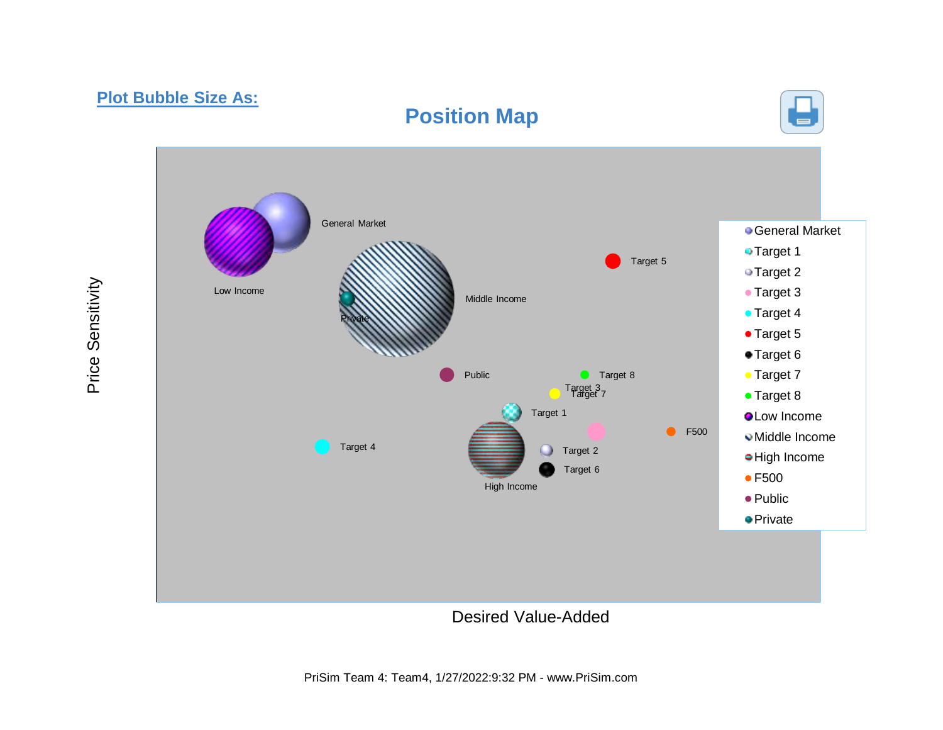## **Plot Bubble Size As:**

# **Position Map**





Desired Value-Added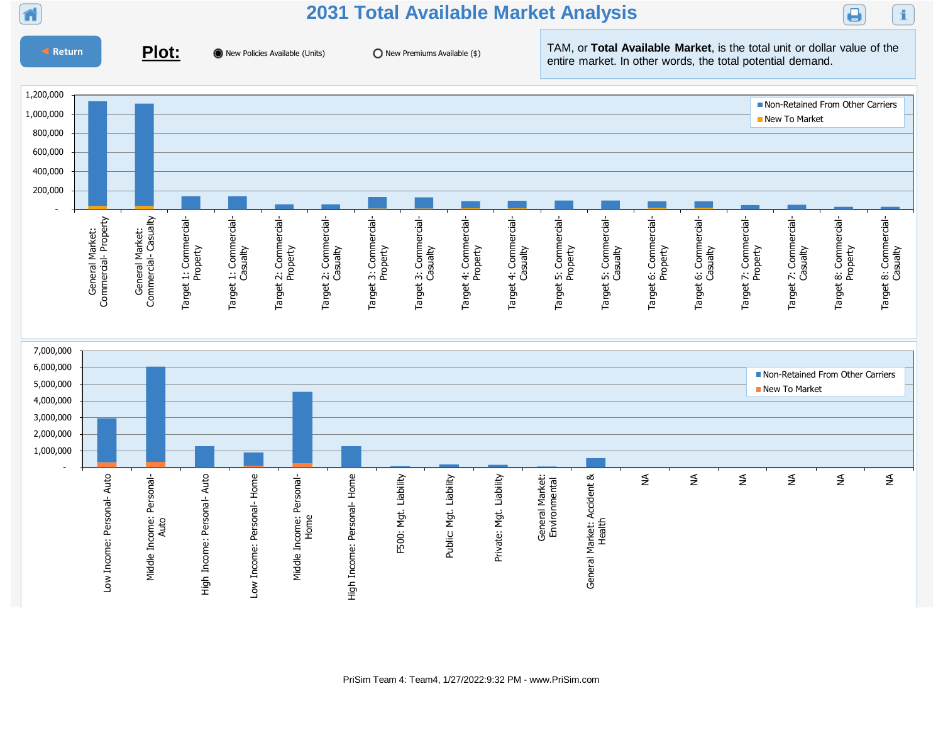

## **2031 Total Available Market Analysis**



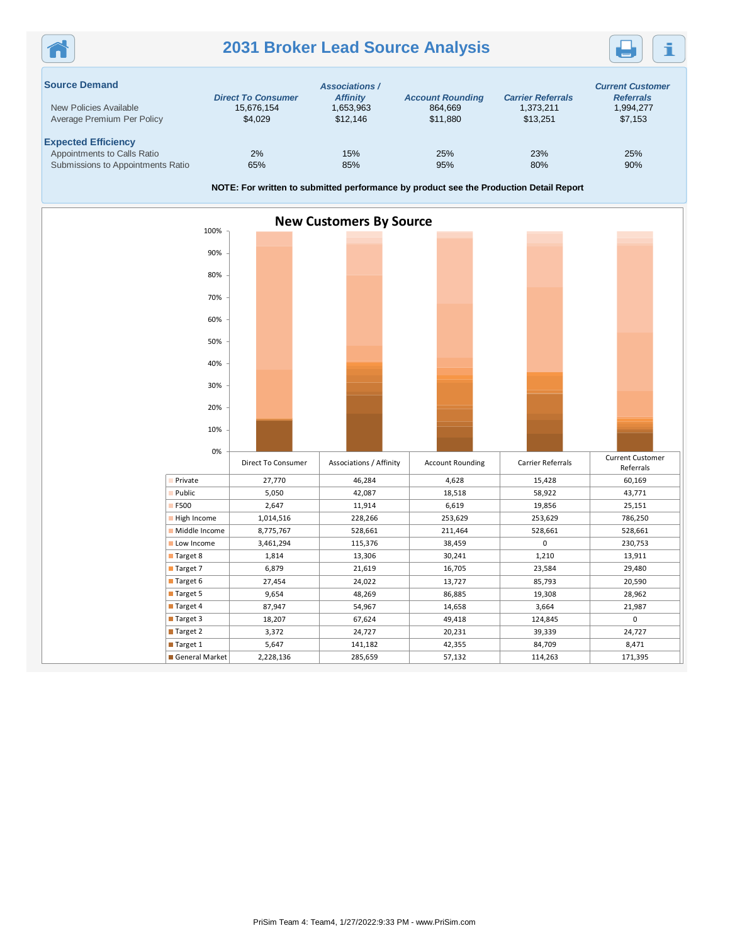## **2031 Broker Lead Source Analysis**



| <b>Source Demand</b>              | <b>Direct To Consumer</b> | <b>Associations /</b><br><b>Affinity</b> | <b>Account Rounding</b> | <b>Carrier Referrals</b> | <b>Current Customer</b><br><b>Referrals</b> |
|-----------------------------------|---------------------------|------------------------------------------|-------------------------|--------------------------|---------------------------------------------|
| New Policies Available            | 15.676.154                | 1,653,963                                | 864.669                 | 1.373.211                | 1,994,277                                   |
| Average Premium Per Policy        | \$4,029                   | \$12,146                                 | \$11.880                | \$13.251                 | \$7,153                                     |
| <b>Expected Efficiency</b>        |                           |                                          |                         |                          |                                             |
| Appointments to Calls Ratio       | 2%                        | 15%                                      | 25%                     | 23%                      | 25%                                         |
| Submissions to Appointments Ratio | 65%                       | 85%                                      | 95%                     | 80%                      | 90%                                         |

**NOTE: For written to submitted performance by product see the Production Detail Report**

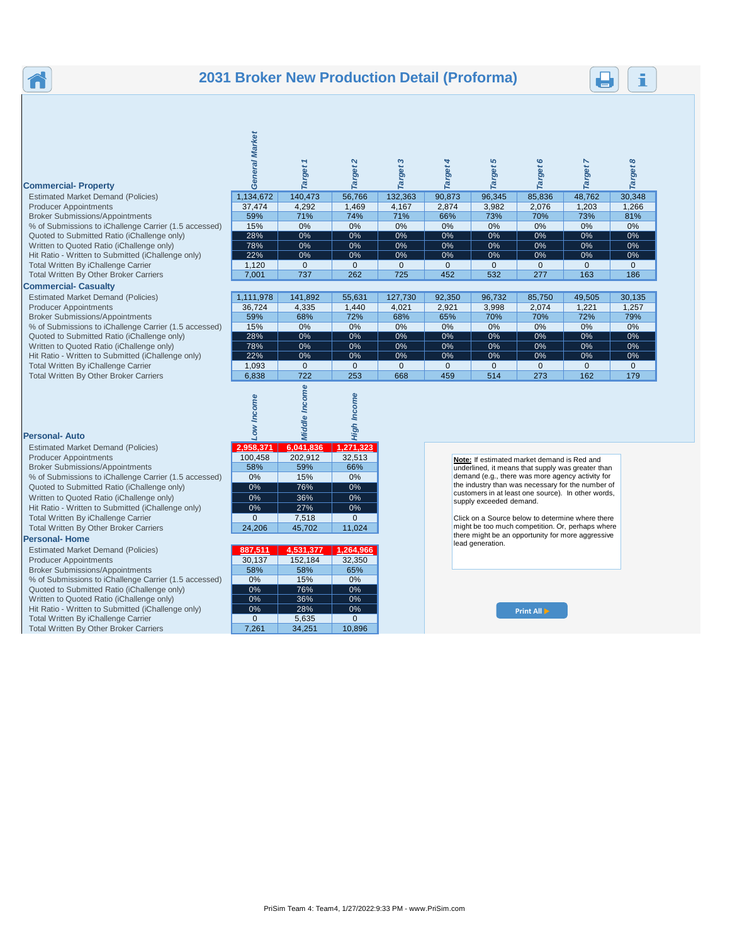## **2031 Broker New Production Detail (Proforma)**

#### **Commercial- Property** Estimated Market Demand (Policies) Producer Appointments Broker Submissions/Appointments % of Submissions to iChallenge Carrier (1.5 accessed)

- Quoted to Submitted Ratio (iChallenge only)
- Written to Quoted Ratio (iChallenge only)
- Hit Ratio Written to Submitted (iChallenge only)

## **Commercial- Casualty**

ñ

Estimated Market Demand (Policies) Producer Appointments Broker Submissions/Appointments % of Submissions to iChallenge Carrier (1.5 accessed) Quoted to Submitted Ratio (iChallenge only) Written to Quoted Ratio (iChallenge only) Hit Ratio - Written to Submitted (iChallenge only) Total Written By iChallenge Carrier 1,093 0 0 0 0 0 0 0 0 Total Written By Other Broker Carriers 6,838 722 253 668 459 514 273 162 179

#### **Personal- Auto**

| <b>Estimated Market Demand (Policies)</b>             | 2,958,371 | 6,041,836 | 1,271,323 |
|-------------------------------------------------------|-----------|-----------|-----------|
| <b>Producer Appointments</b>                          | 100.458   | 202.912   | 32.513    |
| <b>Broker Submissions/Appointments</b>                | 58%       | 59%       | 66%       |
| % of Submissions to iChallenge Carrier (1.5 accessed) | 0%        | 15%       | 0%        |
| Quoted to Submitted Ratio (iChallenge only)           | $0\%$     | 76%       | 0%        |
| Written to Quoted Ratio (iChallenge only)             | $0\%$     | 36%       | 0%        |
| Hit Ratio - Written to Submitted (iChallenge only)    | $0\%$     | 27%       | 0%        |
| Total Written By iChallenge Carrier                   | $\Omega$  | 7.518     | $\Omega$  |
| <b>Total Written By Other Broker Carriers</b>         | 24 206    | 45 702    | 11 024    |

#### **Personal- Home**

| <b>Estimated Market Demand (Policies)</b>             | 887,511 | 4,531,377 | 1,264,966 |
|-------------------------------------------------------|---------|-----------|-----------|
| <b>Producer Appointments</b>                          | 30.137  | 152,184   | 32,350    |
| <b>Broker Submissions/Appointments</b>                | 58%     | 58%       | 65%       |
| % of Submissions to iChallenge Carrier (1.5 accessed) | 0%      | 15%       | 0%        |
| Quoted to Submitted Ratio (iChallenge only)           | 0%      | 76%       | 0%        |
| Written to Quoted Ratio (iChallenge only)             | 0%      | 36%       | 0%        |
| Hit Ratio - Written to Submitted (iChallenge only)    | 0%      | 28%       | 0%        |
|                                                       |         |           |           |

| ommercial- Property                                   |           | ↽<br>arget | arget <sub>2</sub> | S<br>Target  | arget       | 5<br><b>Target</b> | $\circ$      | arget    | $\infty$<br><b>Target</b> |
|-------------------------------------------------------|-----------|------------|--------------------|--------------|-------------|--------------------|--------------|----------|---------------------------|
| <b>Estimated Market Demand (Policies)</b>             | 1,134,672 | 140,473    | 56,766             | 132,363      | 90,873      | 96,345             | 85,836       | 48,762   | 30,348                    |
| <b>Producer Appointments</b>                          | 37,474    | 4,292      | 1,469              | 4,167        | 2,874       | 3,982              | 2,076        | 1,203    | 1,266                     |
| <b>Broker Submissions/Appointments</b>                | 59%       | 71%        | 74%                | 71%          | 66%         | 73%                | 70%          | 73%      | 81%                       |
| % of Submissions to iChallenge Carrier (1.5 accessed) | 15%       | 0%         | 0%                 | 0%           | 0%          | 0%                 | 0%           | 0%       | 0%                        |
| Quoted to Submitted Ratio (iChallenge only)           | 28%       | $0\%$      | 0%                 | 0%           | 0%          | 0%                 | 0%           | 0%       | 0%                        |
| Written to Quoted Ratio (iChallenge only)             | 78%       | $0\%$      | 0%                 | 0%           | 0%          | 0%                 | 0%           | 0%       | 0%                        |
| Hit Ratio - Written to Submitted (iChallenge only)    | 22%       | $0\%$      | 0%                 | 0%           | $0\%$       | 0%                 | 0%           | 0%       | 0%                        |
| Total Written By iChallenge Carrier                   | 1,120     | 0          | $\mathbf 0$        | $\mathbf{0}$ | $\mathbf 0$ | $\Omega$           | $\mathbf{0}$ | $\Omega$ | $\mathbf{0}$              |
| <b>Total Written By Other Broker Carriers</b>         | 7,001     | 737        | 262                | 725          | 452         | 532                | 277          | 163      | 186                       |
| ommercial- Casualty                                   |           |            |                    |              |             |                    |              |          |                           |
| <b>Estimated Market Demand (Policies)</b>             | 1,111,978 | 141,892    | 55,631             | 127,730      | 92,350      | 96,732             | 85,750       | 49,505   | 30,135                    |
| <b>Producer Appointments</b>                          | 36,724    | 4,335      | 1,440              | 4,021        | 2,921       | 3,998              | 2,074        | 1,221    | 1,257                     |
| <b>Broker Submissions/Appointments</b>                | 59%       | 68%        | 72%                | 68%          | 65%         | 70%                | 70%          | 72%      | 79%                       |
| % of Submissions to iChallenge Carrier (1.5 accessed) | 15%       | 0%         | 0%                 | 0%           | $0\%$       | 0%                 | 0%           | 0%       | 0%                        |
| Quoted to Submitted Ratio (iChallenge only)           | 28%       | $0\%$      | 0%                 | 0%           | $0\%$       | 0%                 | 0%           | 0%       | $0\%$                     |
| Written to Quoted Ratio (iChallenge only)             | 78%       | $0\%$      | 0%                 | 0%           | $0\%$       | 0%                 | 0%           | 0%       | $0\%$                     |
| Hit Ratio - Written to Submitted (iChallenge only)    | 22%       | $0\%$      | $0\%$              | 0%           | 0%          | 0%                 | 0%           | 0%       | $0\%$                     |
| Total Written By iChallenge Carrier                   | 1,093     | 0          | $\Omega$           | $\Omega$     | $\Omega$    |                    | $\Omega$     | 0        | 0                         |

| Low Income | Middle Income | High Income    |
|------------|---------------|----------------|
| 2,958,371  | 6,041,836     | 1,271,323      |
| 100,458    | 202,912       | 32,513         |
| 58%        | 59%           | 66%            |
| 0%         | 15%           | 0%             |
| 0%         | 76%           | 0%             |
| 0%         | 36%           | $0\%$          |
| 0%         | 27%           | 0%             |
| $\Omega$   | 7,518         | $\overline{0}$ |
| 24.206     | 45,702        | 11,024         |

**Market** 

| <b>GISUILAI- FIUILIE</b>                              |          |           |           |
|-------------------------------------------------------|----------|-----------|-----------|
| <b>Estimated Market Demand (Policies)</b>             | 887,511  | 4,531,377 | 1,264,966 |
| <b>Producer Appointments</b>                          | 30,137   | 152,184   | 32,350    |
| <b>Broker Submissions/Appointments</b>                | 58%      | 58%       | 65%       |
| % of Submissions to iChallenge Carrier (1.5 accessed) | 0%       | 15%       | 0%        |
| Quoted to Submitted Ratio (iChallenge only)           | 0%       | 76%       | $0\%$     |
| Written to Quoted Ratio (iChallenge only)             | 0%       | 36%       | $0\%$     |
| Hit Ratio - Written to Submitted (iChallenge only)    | 0%       | 28%       | $0\%$     |
| Total Written By iChallenge Carrier                   | $\Omega$ | 5,635     | $\Omega$  |
| <b>Total Written By Other Broker Carriers</b>         | 7.261    | 34.251    | 10.896    |

**Note:** If estimated market demand is Red and underlined, it means that supply was greater than demand (e.g., there was more agency activity for the industry than was necessary for the number of customers in at least one source). In other words, supply exceeded demand.

Click on a Source below to determine where there might be too much competition. Or, perhaps where there might be an opportunity for more aggressive lead generation.

**Print All**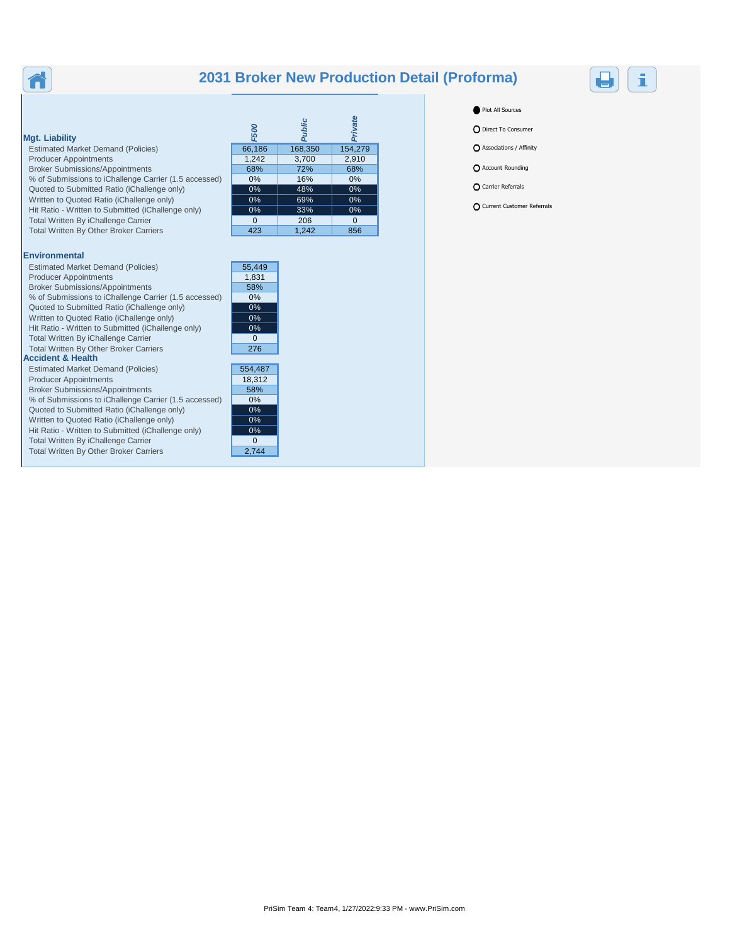## **2031 Broker New Production Detail (Proforma)**



## **Mgt. Liability**

Ħ

Estimated Market Demand (Policies) Producer Appointments Broker Submissions/Appointments % of Submissions to iChallenge Carrier (1.5 accessed) Quoted to Submitted Ratio (iChallenge only) Written to Quoted Ratio (iChallenge only) Hit Ratio - Written to Submitted (iChallenge only) Total Written By iChallenge Carrier Total Written By Other Broker Carriers

### **Environmental**

| Estimated Market Demand (Policies)                    | 55.449   |
|-------------------------------------------------------|----------|
| <b>Producer Appointments</b>                          | 1,831    |
| <b>Broker Submissions/Appointments</b>                | 58%      |
| % of Submissions to iChallenge Carrier (1.5 accessed) | $0\%$    |
| Quoted to Submitted Ratio (iChallenge only)           | $0\%$    |
| Written to Quoted Ratio (iChallenge only)             | 0%       |
| Hit Ratio - Written to Submitted (iChallenge only)    | 0%       |
| Total Written By iChallenge Carrier                   | $\Omega$ |
| <b>Total Written By Other Broker Carriers</b>         | 276      |
| <b>Accident &amp; Health</b>                          |          |
| <b>Estimated Market Demand (Policies)</b>             | 554,487  |
| <b>Producer Appointments</b>                          | 18.312   |
| <b>Broker Submissions/Appointments</b>                | 58%      |
| % of Submissions to iChallenge Carrier (1.5 accessed) | $0\%$    |
| Quoted to Submitted Ratio (iChallenge only)           | 0%       |
| Written to Quoted Ratio (iChallenge only)             | $0\%$    |
| Hit Ratio - Written to Submitted (iChallenge only)    | $0\%$    |
| Total Written By iChallenge Carrier                   | O        |
| <b>Total Written By Other Broker Carriers</b>         | 2.744    |

| <b>F500</b> | Public  | Private  |
|-------------|---------|----------|
| 66,186      | 168,350 | 154,279  |
| 1,242       | 3,700   | 2,910    |
| 68%         | 72%     | 68%      |
| 0%          | 16%     | 0%       |
| 0%          | 48%     | 0%       |
| 0%          | 69%     | 0%       |
| 0%          | 33%     | 0%       |
| $\Omega$    | 206     | $\Omega$ |
| 423         | 1,242   | 856      |



Plot All Sources

**O** Direct To Consumer

Associations / Affinity

**O** Account Rounding

**O** Carrier Referrals

Current Customer Referrals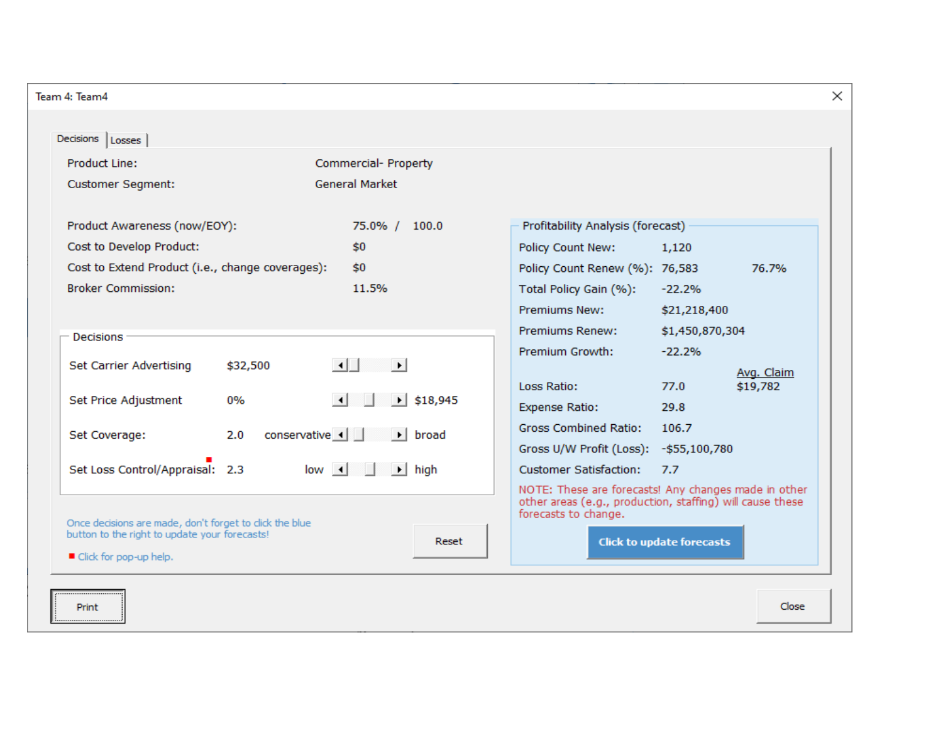| <b>Product Line:</b>                                                                                     | Commercial- Property                                    |                                         |                                                                                                                   |
|----------------------------------------------------------------------------------------------------------|---------------------------------------------------------|-----------------------------------------|-------------------------------------------------------------------------------------------------------------------|
| <b>Customer Segment:</b>                                                                                 | <b>General Market</b>                                   |                                         |                                                                                                                   |
| Product Awareness (now/EOY):                                                                             | 75.0% / 100.0                                           | Profitability Analysis (forecast)       |                                                                                                                   |
| Cost to Develop Product:                                                                                 | \$0                                                     | Policy Count New:                       | 1,120                                                                                                             |
| Cost to Extend Product (i.e., change coverages):                                                         | \$0                                                     | Policy Count Renew (%): 76,583          | 76.7%                                                                                                             |
| <b>Broker Commission:</b>                                                                                | 11.5%                                                   | Total Policy Gain (%):                  | $-22.2%$                                                                                                          |
|                                                                                                          |                                                         | <b>Premiums New:</b>                    | \$21,218,400                                                                                                      |
| Decisions                                                                                                |                                                         | Premiums Renew:                         | \$1,450,870,304                                                                                                   |
|                                                                                                          |                                                         | Premium Growth:                         | $-22.2%$                                                                                                          |
| Set Carrier Advertising<br>\$32,500                                                                      | $\left  \cdot \right $<br>DH                            |                                         | Avg. Claim                                                                                                        |
| Set Price Adjustment<br>0%                                                                               | $\blacktriangleright$ \$18,945<br>$\lvert \cdot \rvert$ | Loss Ratio:                             | \$19,782<br>77.0                                                                                                  |
|                                                                                                          |                                                         | <b>Expense Ratio:</b>                   | 29.8                                                                                                              |
| 2.0<br>Set Coverage:                                                                                     | $conservative \cdot$<br>$\blacktriangleright$ broad     | <b>Gross Combined Ratio:</b>            | 106.7                                                                                                             |
|                                                                                                          |                                                         | Gross U/W Profit (Loss): - \$55,100,780 |                                                                                                                   |
| Set Loss Control/Appraisal: 2.3                                                                          | $low \mid \mid$<br>$\rightarrow$ high                   | <b>Customer Satisfaction:</b>           | 7.7                                                                                                               |
|                                                                                                          |                                                         | forecasts to change.                    | NOTE: These are forecasts! Any changes made in other<br>other areas (e.g., production, staffing) will cause these |
| Once decisions are made, don't forget to click the blue<br>button to the right to update your forecasts! | Reset                                                   |                                         | <b>Click to update forecasts</b>                                                                                  |
| ■ Click for pop-up help.                                                                                 |                                                         |                                         |                                                                                                                   |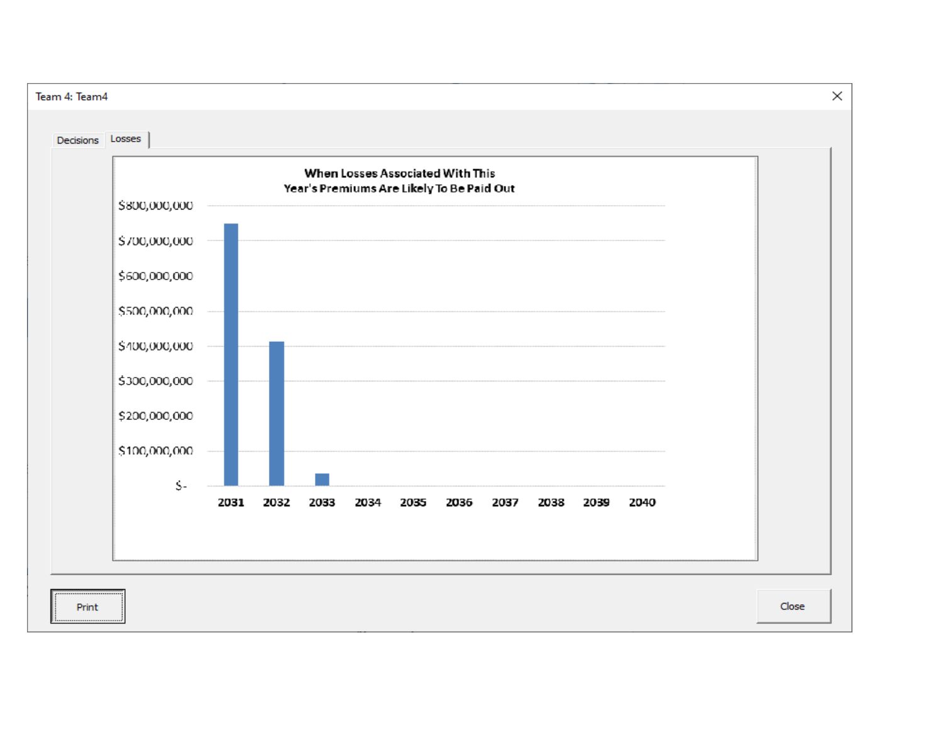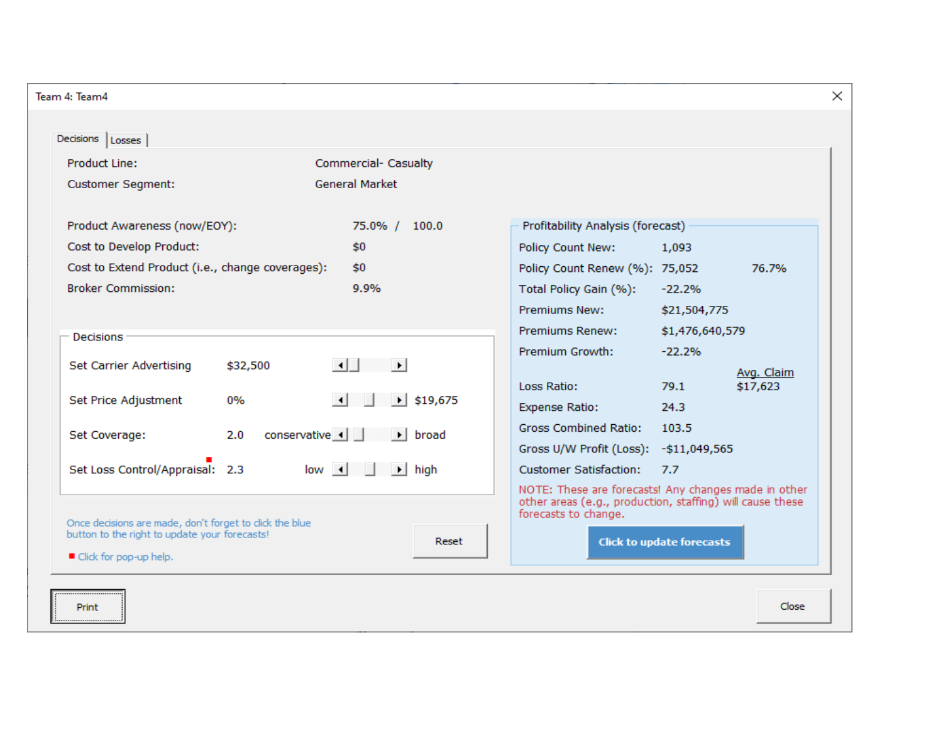| <b>Product Line:</b>                                                                                     | Commercial- Casualty                                     |                                                                                                                                           |                                  |  |
|----------------------------------------------------------------------------------------------------------|----------------------------------------------------------|-------------------------------------------------------------------------------------------------------------------------------------------|----------------------------------|--|
| <b>Customer Segment:</b>                                                                                 | <b>General Market</b>                                    |                                                                                                                                           |                                  |  |
| Product Awareness (now/EOY):                                                                             | 75.0% / 100.0                                            | Profitability Analysis (forecast)                                                                                                         |                                  |  |
| Cost to Develop Product:                                                                                 | \$0                                                      | Policy Count New:                                                                                                                         | 1,093                            |  |
| Cost to Extend Product (i.e., change coverages):                                                         | \$0                                                      | Policy Count Renew (%): 75,052                                                                                                            | 76.7%                            |  |
| <b>Broker Commission:</b>                                                                                | 9.9%                                                     | Total Policy Gain (%):                                                                                                                    | $-22.2%$                         |  |
|                                                                                                          |                                                          | <b>Premiums New:</b>                                                                                                                      | \$21,504,775                     |  |
| Decisions                                                                                                |                                                          | Premiums Renew:                                                                                                                           | \$1,476,640,579                  |  |
|                                                                                                          |                                                          | Premium Growth:                                                                                                                           | $-22.2%$                         |  |
| Set Carrier Advertising<br>\$32,500                                                                      | $\left  \cdot \right $<br>DH                             |                                                                                                                                           | Avg. Claim                       |  |
| Set Price Adjustment<br>0%                                                                               | $\left  \cdot \right $<br>$\blacktriangleright$ \$19,675 | Loss Ratio:                                                                                                                               | \$17,623<br>79.1                 |  |
|                                                                                                          |                                                          | <b>Expense Ratio:</b>                                                                                                                     | 24.3                             |  |
| 2.0<br>Set Coverage:                                                                                     | $conservative \cdot$<br>$\blacktriangleright$ broad      | <b>Gross Combined Ratio:</b>                                                                                                              | 103.5                            |  |
|                                                                                                          |                                                          | Gross U/W Profit (Loss): - \$11,049,565                                                                                                   |                                  |  |
| Set Loss Control/Appraisal: 2.3                                                                          | $low \mid \mid$<br>$\rightarrow$ high                    | <b>Customer Satisfaction:</b>                                                                                                             | 7.7                              |  |
|                                                                                                          |                                                          | NOTE: These are forecasts! Any changes made in other<br>other areas (e.g., production, staffing) will cause these<br>forecasts to change. |                                  |  |
| Once decisions are made, don't forget to click the blue<br>button to the right to update your forecasts! | Reset                                                    |                                                                                                                                           | <b>Click to update forecasts</b> |  |
| ■ Click for pop-up help.                                                                                 |                                                          |                                                                                                                                           |                                  |  |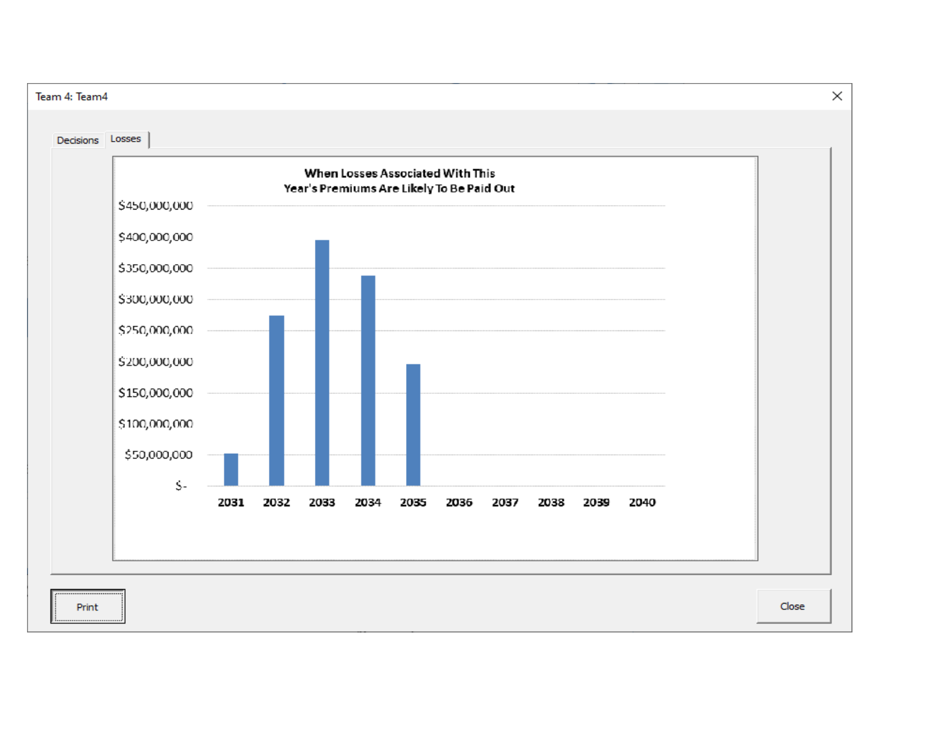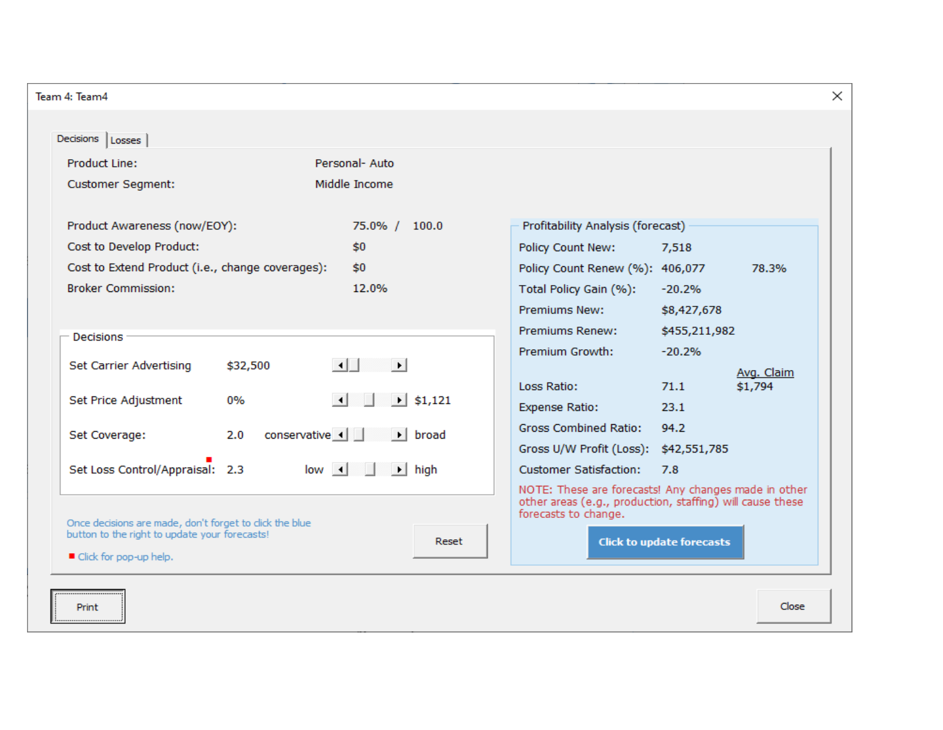| Team 4: Team4                                                                                            |                                                         |                                                                                   |                                  | $\times$   |
|----------------------------------------------------------------------------------------------------------|---------------------------------------------------------|-----------------------------------------------------------------------------------|----------------------------------|------------|
| Decisions   Losses                                                                                       |                                                         |                                                                                   |                                  |            |
| <b>Product Line:</b>                                                                                     | Personal- Auto                                          |                                                                                   |                                  |            |
| <b>Customer Segment:</b>                                                                                 | Middle Income                                           |                                                                                   |                                  |            |
| Product Awareness (now/EOY):                                                                             | 75.0% / 100.0                                           | Profitability Analysis (forecast)                                                 |                                  |            |
| Cost to Develop Product:                                                                                 | \$0                                                     | Policy Count New:                                                                 | 7,518                            |            |
| Cost to Extend Product (i.e., change coverages):                                                         | \$0                                                     | Policy Count Renew (%): 406,077                                                   |                                  | 78.3%      |
| <b>Broker Commission:</b>                                                                                | 12.0%                                                   | Total Policy Gain (%):                                                            | $-20.2%$                         |            |
|                                                                                                          |                                                         | <b>Premiums New:</b>                                                              | \$8,427,678                      |            |
| <b>Decisions</b>                                                                                         |                                                         | Premiums Renew:                                                                   | \$455,211,982                    |            |
|                                                                                                          |                                                         | Premium Growth:                                                                   | $-20.2%$                         |            |
| Set Carrier Advertising<br>\$32,500                                                                      | $\left  \cdot \right $<br>⊪⊦⊺                           | Loss Ratio:                                                                       | 71.1                             | Avg. Claim |
| 0%<br>Set Price Adjustment                                                                               | $\left  \cdot \right $<br>$\blacktriangleright$ \$1,121 | <b>Expense Ratio:</b>                                                             | 23.1                             | \$1,794    |
|                                                                                                          |                                                         | <b>Gross Combined Ratio:</b>                                                      | 94.2                             |            |
| $conservative \t-1$<br>Set Coverage:<br>2.0                                                              | $\blacktriangleright$ broad                             | Gross U/W Profit (Loss): \$42,551,785                                             |                                  |            |
| Set Loss Control/Appraisal: 2.3                                                                          | $low \mid \mid$<br>$\rightarrow$ high                   | <b>Customer Satisfaction:</b>                                                     | 7.8                              |            |
|                                                                                                          |                                                         | NOTE: These are forecasts! Any changes made in other                              |                                  |            |
|                                                                                                          |                                                         | other areas (e.g., production, staffing) will cause these<br>forecasts to change. |                                  |            |
| Once decisions are made, don't forget to click the blue<br>button to the right to update your forecasts! | Reset                                                   |                                                                                   | <b>Click to update forecasts</b> |            |
| ■ Click for pop-up help.                                                                                 |                                                         |                                                                                   |                                  |            |
|                                                                                                          |                                                         |                                                                                   |                                  |            |
| Print                                                                                                    |                                                         |                                                                                   |                                  | Close      |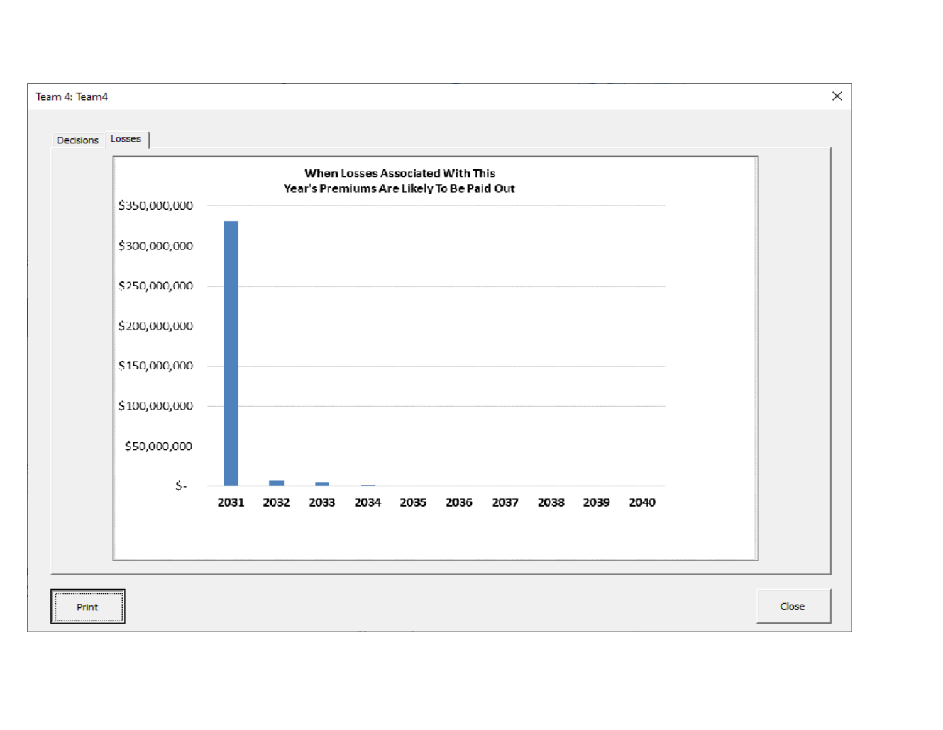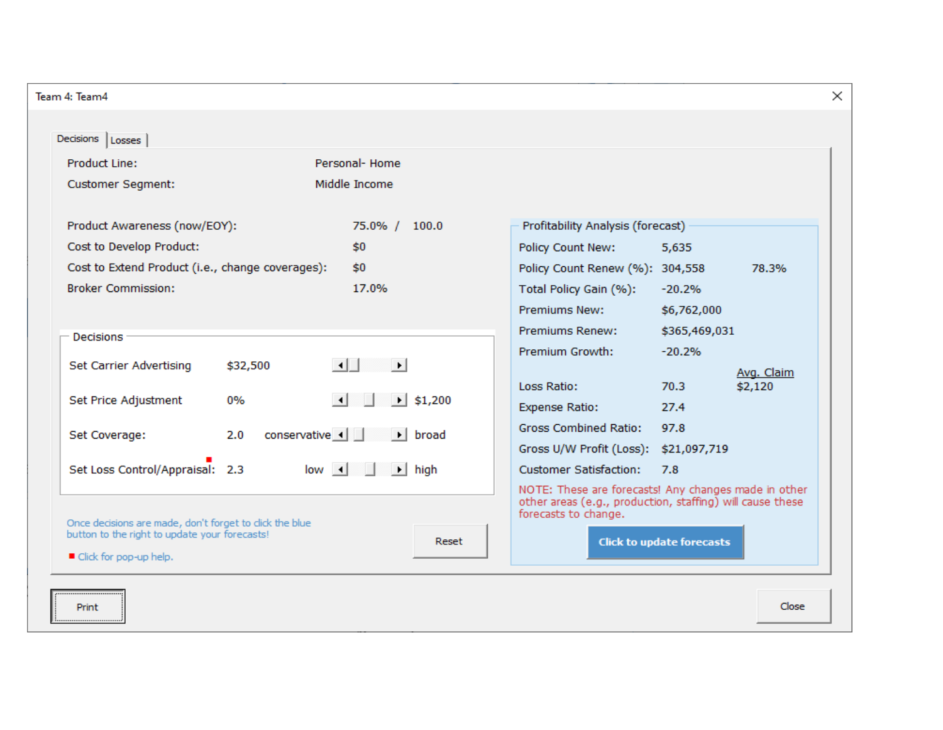| Feam 4: Team4                                                                                                                                                                                                                                                                                                                                                                                                                                                                   |                                                                                                                                                                                                                                                                                                                                                                                                                                                            | $\times$ |
|---------------------------------------------------------------------------------------------------------------------------------------------------------------------------------------------------------------------------------------------------------------------------------------------------------------------------------------------------------------------------------------------------------------------------------------------------------------------------------|------------------------------------------------------------------------------------------------------------------------------------------------------------------------------------------------------------------------------------------------------------------------------------------------------------------------------------------------------------------------------------------------------------------------------------------------------------|----------|
| Decisions   Losses                                                                                                                                                                                                                                                                                                                                                                                                                                                              |                                                                                                                                                                                                                                                                                                                                                                                                                                                            |          |
| Personal- Home<br><b>Product Line:</b><br>Middle Income<br><b>Customer Segment:</b>                                                                                                                                                                                                                                                                                                                                                                                             |                                                                                                                                                                                                                                                                                                                                                                                                                                                            |          |
| Product Awareness (now/EOY):<br>75.0% / 100.0<br>Cost to Develop Product:<br>\$0<br>Cost to Extend Product (i.e., change coverages):<br>\$0<br><b>Broker Commission:</b><br>17.0%                                                                                                                                                                                                                                                                                               | Profitability Analysis (forecast)<br>Policy Count New:<br>5,635<br>Policy Count Renew (%): 304,558<br>78.3%<br>Total Policy Gain (%):<br>$-20.2%$<br><b>Premiums New:</b><br>\$6,762,000                                                                                                                                                                                                                                                                   |          |
| Decisions<br>$\left  \cdot \right $<br>Set Carrier Advertising<br>\$32,500<br>⊪∎<br>$\left  \cdot \right $<br>$\blacktriangleright$ \$1,200<br>Set Price Adjustment<br>0%<br>conservative 4<br>$\blacktriangleright$ broad<br>Set Coverage:<br>2.0<br>Set Loss Control/Appraisal: 2.3<br>$low \mid \mid$<br>$\rightarrow$ high<br>Once decisions are made, don't forget to click the blue<br>button to the right to update your forecasts!<br>Reset<br>■ Click for pop-up help. | Premiums Renew:<br>\$365,469,031<br>Premium Growth:<br>$-20.2%$<br>Avg. Claim<br>\$2,120<br>Loss Ratio:<br>70.3<br><b>Expense Ratio:</b><br>27.4<br><b>Gross Combined Ratio:</b><br>97.8<br>Gross U/W Profit (Loss): \$21,097,719<br><b>Customer Satisfaction:</b><br>7.8<br>NOTE: These are forecasts! Any changes made in other<br>other areas (e.g., production, staffing) will cause these<br>forecasts to change.<br><b>Click to update forecasts</b> |          |
| Print                                                                                                                                                                                                                                                                                                                                                                                                                                                                           | Close                                                                                                                                                                                                                                                                                                                                                                                                                                                      |          |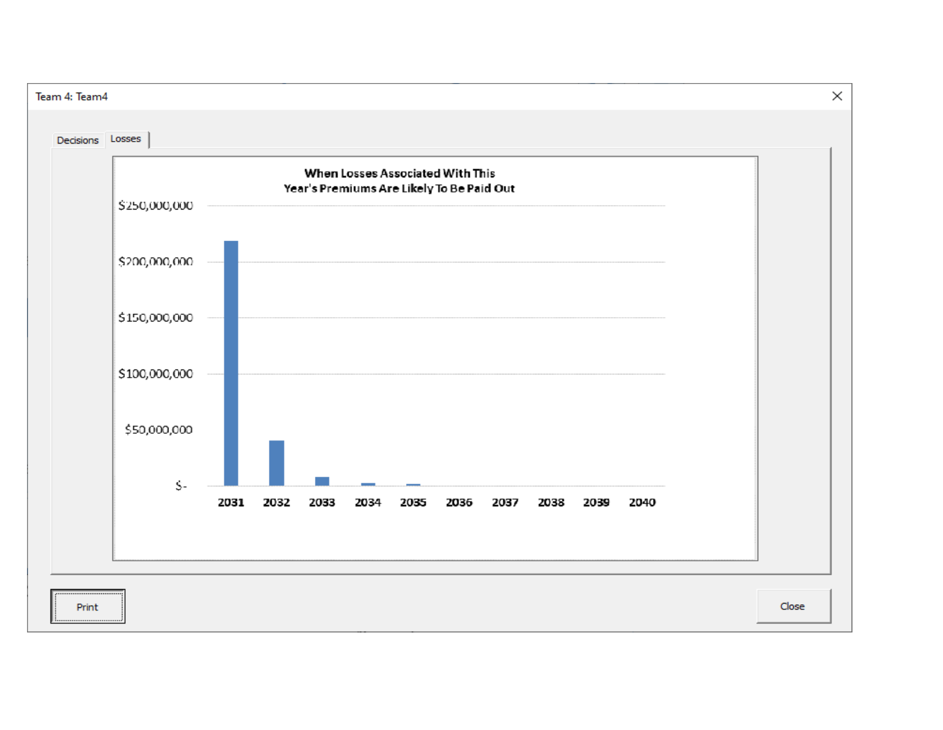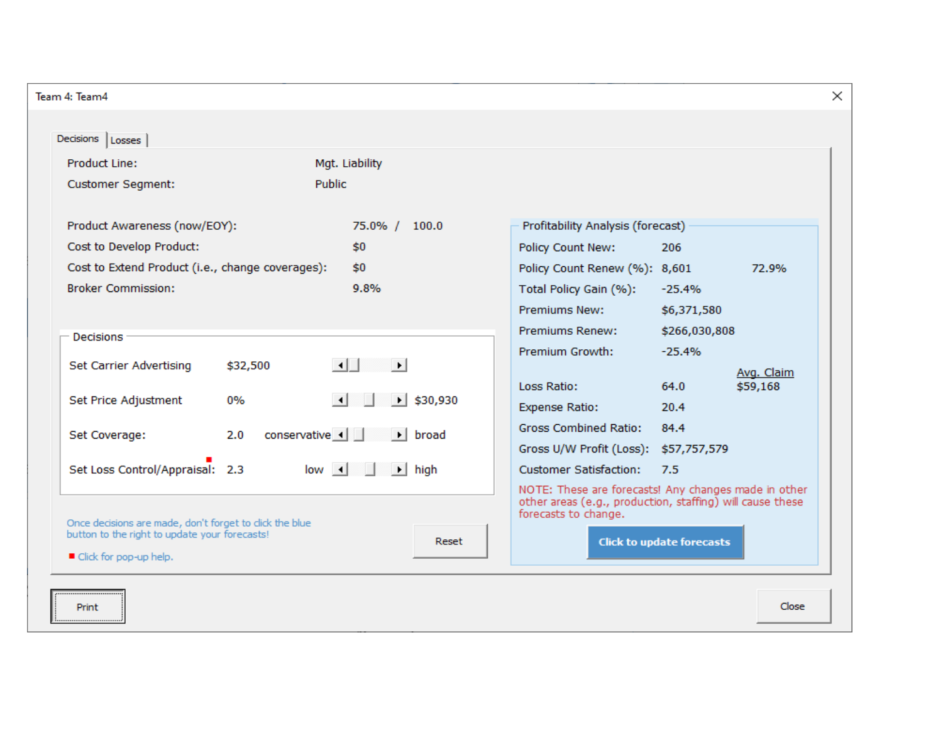| Team 4: Team4                                                                                                                                    |                                                                                                                                                                                  |                                                                                                                                                                                                                                                                                          |
|--------------------------------------------------------------------------------------------------------------------------------------------------|----------------------------------------------------------------------------------------------------------------------------------------------------------------------------------|------------------------------------------------------------------------------------------------------------------------------------------------------------------------------------------------------------------------------------------------------------------------------------------|
| Decisions   Losses                                                                                                                               |                                                                                                                                                                                  |                                                                                                                                                                                                                                                                                          |
| <b>Product Line:</b><br><b>Customer Segment:</b><br>Product Awareness (now/EOY):                                                                 | Mgt. Liability<br>Public<br>75.0% / 100.0                                                                                                                                        | Profitability Analysis (forecast)                                                                                                                                                                                                                                                        |
| Cost to Develop Product:<br>Cost to Extend Product (i.e., change coverages):<br><b>Broker Commission:</b>                                        | \$0<br>\$0<br>9.8%                                                                                                                                                               | Policy Count New:<br>206<br>Policy Count Renew (%): 8,601<br>72.9%<br>Total Policy Gain (%):<br>$-25.4%$<br><b>Premiums New:</b><br>\$6,371,580                                                                                                                                          |
| <b>Decisions</b><br>Set Carrier Advertising<br>\$32,500<br>Set Price Adjustment<br>0%<br>2.0<br>Set Coverage:<br>Set Loss Control/Appraisal: 2.3 | $\left  \cdot \right $<br>ା⊁ା<br>$\blacktriangleright$ \$30,930<br>$\lceil$ 4 $\rceil$<br>conservative 1<br>$\blacktriangleright$ broad<br>$low \mid \mid$<br>$\rightarrow$ high | <b>Premiums Renew:</b><br>\$266,030,808<br><b>Premium Growth:</b><br>$-25.4%$<br>Avg. Claim<br>\$59,168<br>Loss Ratio:<br>64.0<br><b>Expense Ratio:</b><br>20.4<br><b>Gross Combined Ratio:</b><br>84.4<br>Gross U/W Profit (Loss): \$57,757,579<br><b>Customer Satisfaction:</b><br>7.5 |
| Once decisions are made, don't forget to click the blue<br>button to the right to update your forecasts!<br>■ Click for pop-up help.             | Reset                                                                                                                                                                            | NOTE: These are forecasts! Any changes made in other<br>other areas (e.g., production, staffing) will cause these<br>forecasts to change.<br><b>Click to update forecasts</b>                                                                                                            |
| Print                                                                                                                                            |                                                                                                                                                                                  | Close                                                                                                                                                                                                                                                                                    |